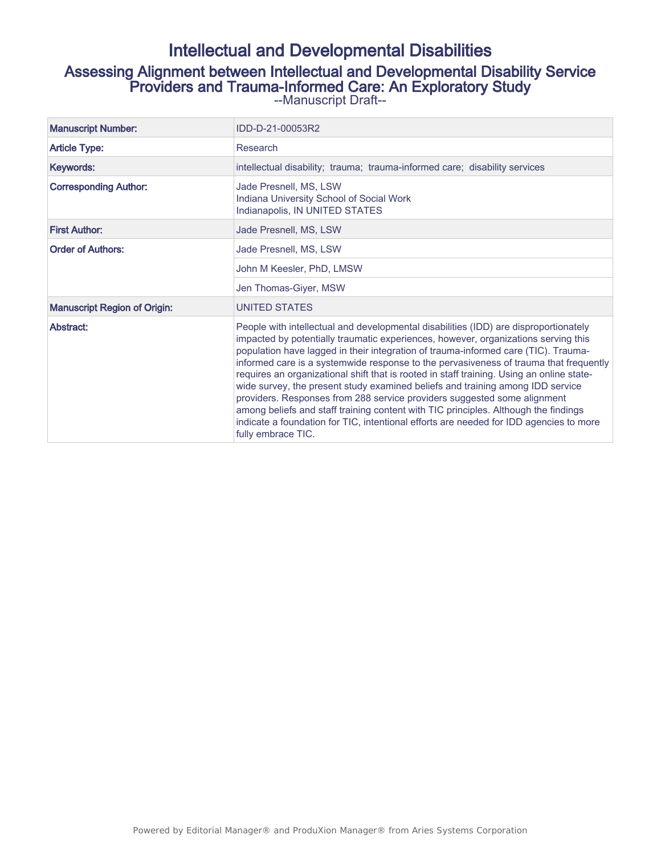# Intellectual and Developmental Disabilities Assessing Alignment between Intellectual and Developmental Disability Service Providers and Trauma-Informed Care: An Exploratory Study --Manuscript Draft--

| IDD-D-21-00053R2                                              |
|---------------------------------------------------------------|
| Research                                                      |
| intellectual disability; trauma; trauma-informed care; disabi |

Manuscript Number:

Article Type:

| Keywords:                           | intellectual disability; trauma; trauma-informed care; disability services                                                                                                                                                                                                                                                                                                                                                                                                                                                                                                                                                                                                                                                                                                                                                  |  |  |  |  |
|-------------------------------------|-----------------------------------------------------------------------------------------------------------------------------------------------------------------------------------------------------------------------------------------------------------------------------------------------------------------------------------------------------------------------------------------------------------------------------------------------------------------------------------------------------------------------------------------------------------------------------------------------------------------------------------------------------------------------------------------------------------------------------------------------------------------------------------------------------------------------------|--|--|--|--|
| <b>Corresponding Author:</b>        | Jade Presnell, MS, LSW<br>Indiana University School of Social Work<br>Indianapolis, IN UNITED STATES                                                                                                                                                                                                                                                                                                                                                                                                                                                                                                                                                                                                                                                                                                                        |  |  |  |  |
| <b>First Author:</b>                | Jade Presnell, MS, LSW                                                                                                                                                                                                                                                                                                                                                                                                                                                                                                                                                                                                                                                                                                                                                                                                      |  |  |  |  |
| <b>Order of Authors:</b>            | Jade Presnell, MS, LSW                                                                                                                                                                                                                                                                                                                                                                                                                                                                                                                                                                                                                                                                                                                                                                                                      |  |  |  |  |
|                                     | John M Keesler, PhD, LMSW                                                                                                                                                                                                                                                                                                                                                                                                                                                                                                                                                                                                                                                                                                                                                                                                   |  |  |  |  |
|                                     | Jen Thomas-Giyer, MSW                                                                                                                                                                                                                                                                                                                                                                                                                                                                                                                                                                                                                                                                                                                                                                                                       |  |  |  |  |
| <b>Manuscript Region of Origin:</b> | UNITED STATES                                                                                                                                                                                                                                                                                                                                                                                                                                                                                                                                                                                                                                                                                                                                                                                                               |  |  |  |  |
| Abstract:                           | People with intellectual and developmental disabilities (IDD) are disproportionately<br>impacted by potentially traumatic experiences, however, organizations serving this<br>population have lagged in their integration of trauma-informed care (TIC). Trauma-<br>informed care is a systemwide response to the pervasiveness of trauma that frequently<br>requires an organizational shift that is rooted in staff training. Using an online state-<br>wide survey, the present study examined beliefs and training among IDD service<br>providers. Responses from 288 service providers suggested some alignment<br>among beliefs and staff training content with TIC principles. Although the findings<br>indicate a foundation for TIC, intentional efforts are needed for IDD agencies to more<br>fully embrace TIC. |  |  |  |  |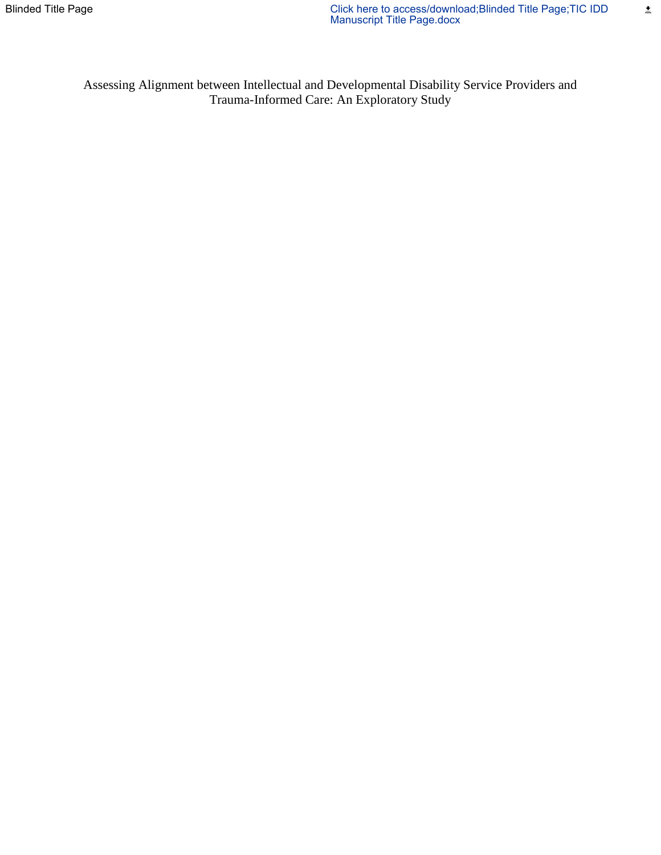Assessing Alignment between Intellectual and Developmental Disability Service Providers and Trauma-Informed Care: An Exploratory Study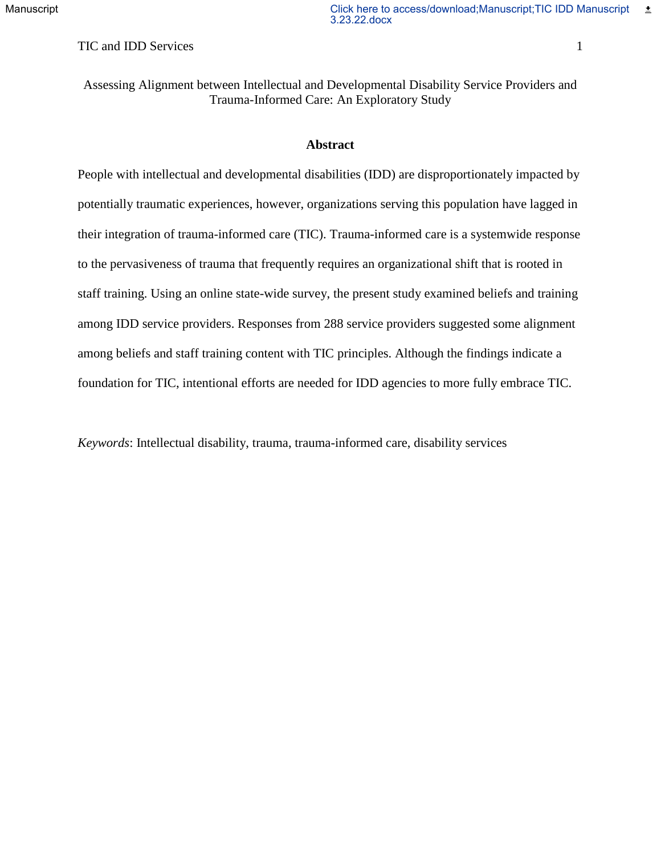TIC and IDD Services 1

Assessing Alignment between Intellectual and Developmental Disability Service Providers and Trauma-Informed Care: An Exploratory Study

## **Abstract**

People with intellectual and developmental disabilities (IDD) are disproportionately impacted by potentially traumatic experiences, however, organizations serving this population have lagged in their integration of trauma-informed care (TIC). Trauma-informed care is a systemwide response to the pervasiveness of trauma that frequently requires an organizational shift that is rooted in staff training. Using an online state-wide survey, the present study examined beliefs and training among IDD service providers. Responses from 288 service providers suggested some alignment among beliefs and staff training content with TIC principles. Although the findings indicate a foundation for TIC, intentional efforts are needed for IDD agencies to more fully embrace TIC.

*Keywords*: Intellectual disability, trauma, trauma-informed care, disability services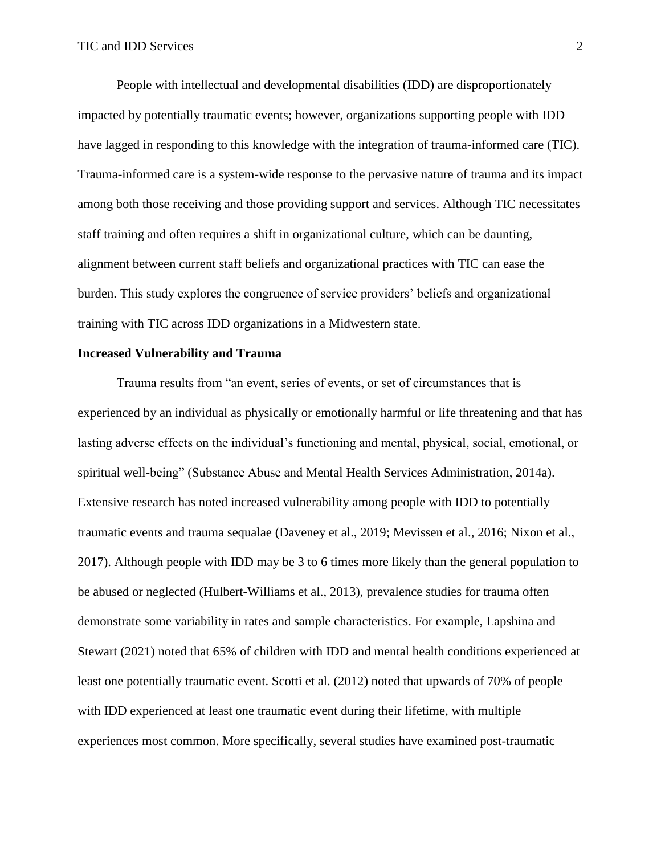People with intellectual and developmental disabilities (IDD) are disproportionately impacted by potentially traumatic events; however, organizations supporting people with IDD have lagged in responding to this knowledge with the integration of trauma-informed care (TIC). Trauma-informed care is a system-wide response to the pervasive nature of trauma and its impact among both those receiving and those providing support and services. Although TIC necessitates staff training and often requires a shift in organizational culture, which can be daunting, alignment between current staff beliefs and organizational practices with TIC can ease the burden. This study explores the congruence of service providers' beliefs and organizational training with TIC across IDD organizations in a Midwestern state.

## **Increased Vulnerability and Trauma**

Trauma results from "an event, series of events, or set of circumstances that is experienced by an individual as physically or emotionally harmful or life threatening and that has lasting adverse effects on the individual's functioning and mental, physical, social, emotional, or spiritual well-being" (Substance Abuse and Mental Health Services Administration, 2014a). Extensive research has noted increased vulnerability among people with IDD to potentially traumatic events and trauma sequalae (Daveney et al., 2019; Mevissen et al., 2016; Nixon et al., 2017). Although people with IDD may be 3 to 6 times more likely than the general population to be abused or neglected (Hulbert-Williams et al., 2013), prevalence studies for trauma often demonstrate some variability in rates and sample characteristics. For example, Lapshina and Stewart (2021) noted that 65% of children with IDD and mental health conditions experienced at least one potentially traumatic event. Scotti et al. (2012) noted that upwards of 70% of people with IDD experienced at least one traumatic event during their lifetime, with multiple experiences most common. More specifically, several studies have examined post-traumatic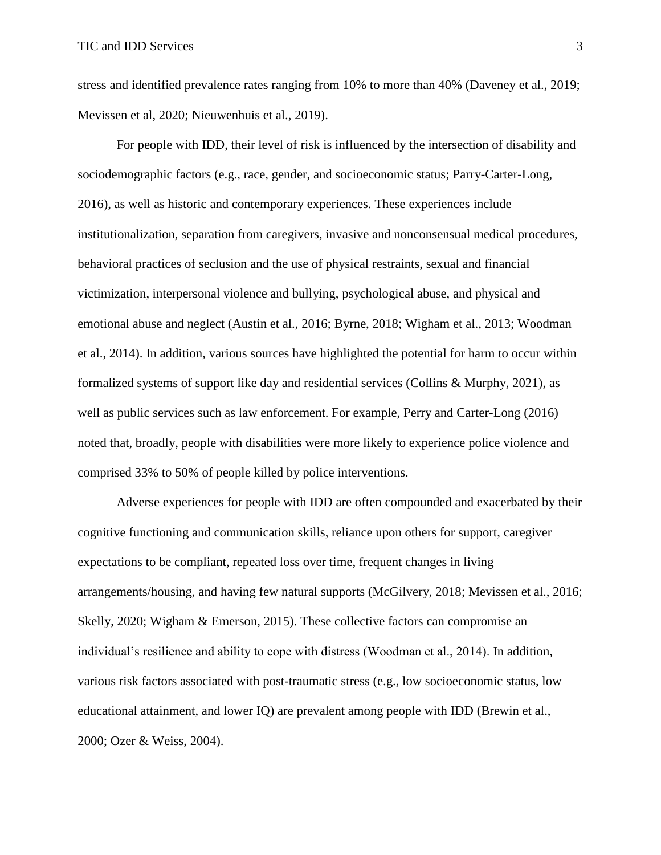stress and identified prevalence rates ranging from 10% to more than 40% (Daveney et al., 2019; Mevissen et al, 2020; Nieuwenhuis et al., 2019).

For people with IDD, their level of risk is influenced by the intersection of disability and sociodemographic factors (e.g., race, gender, and socioeconomic status; Parry-Carter-Long, 2016), as well as historic and contemporary experiences. These experiences include institutionalization, separation from caregivers, invasive and nonconsensual medical procedures, behavioral practices of seclusion and the use of physical restraints, sexual and financial victimization, interpersonal violence and bullying, psychological abuse, and physical and emotional abuse and neglect (Austin et al., 2016; Byrne, 2018; Wigham et al., 2013; Woodman et al., 2014). In addition, various sources have highlighted the potential for harm to occur within formalized systems of support like day and residential services (Collins & Murphy, 2021), as well as public services such as law enforcement. For example, Perry and Carter-Long (2016) noted that, broadly, people with disabilities were more likely to experience police violence and comprised 33% to 50% of people killed by police interventions.

Adverse experiences for people with IDD are often compounded and exacerbated by their cognitive functioning and communication skills, reliance upon others for support, caregiver expectations to be compliant, repeated loss over time, frequent changes in living arrangements/housing, and having few natural supports (McGilvery, 2018; Mevissen et al., 2016; Skelly, 2020; Wigham & Emerson, 2015). These collective factors can compromise an individual's resilience and ability to cope with distress (Woodman et al., 2014). In addition, various risk factors associated with post-traumatic stress (e.g., low socioeconomic status, low educational attainment, and lower IQ) are prevalent among people with IDD (Brewin et al., 2000; Ozer & Weiss, 2004).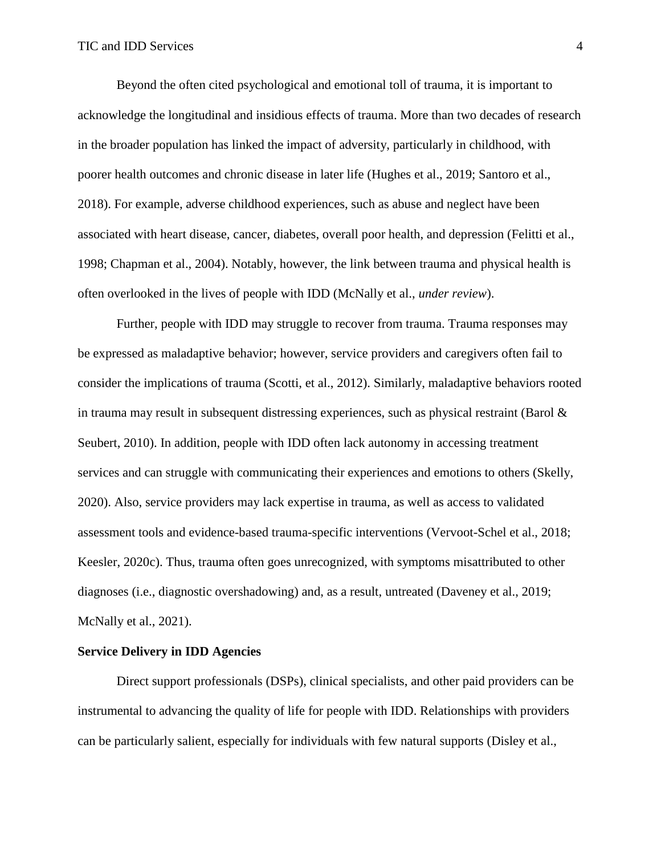Beyond the often cited psychological and emotional toll of trauma, it is important to acknowledge the longitudinal and insidious effects of trauma. More than two decades of research in the broader population has linked the impact of adversity, particularly in childhood, with poorer health outcomes and chronic disease in later life (Hughes et al., 2019; Santoro et al., 2018). For example, adverse childhood experiences, such as abuse and neglect have been associated with heart disease, cancer, diabetes, overall poor health, and depression (Felitti et al., 1998; Chapman et al., 2004). Notably, however, the link between trauma and physical health is often overlooked in the lives of people with IDD (McNally et al., *under review*).

Further, people with IDD may struggle to recover from trauma. Trauma responses may be expressed as maladaptive behavior; however, service providers and caregivers often fail to consider the implications of trauma (Scotti, et al., 2012). Similarly, maladaptive behaviors rooted in trauma may result in subsequent distressing experiences, such as physical restraint (Barol  $\&$ Seubert, 2010). In addition, people with IDD often lack autonomy in accessing treatment services and can struggle with communicating their experiences and emotions to others (Skelly, 2020). Also, service providers may lack expertise in trauma, as well as access to validated assessment tools and evidence-based trauma-specific interventions (Vervoot-Schel et al., 2018; Keesler, 2020c). Thus, trauma often goes unrecognized, with symptoms misattributed to other diagnoses (i.e., diagnostic overshadowing) and, as a result, untreated (Daveney et al., 2019; McNally et al., 2021).

#### **Service Delivery in IDD Agencies**

Direct support professionals (DSPs), clinical specialists, and other paid providers can be instrumental to advancing the quality of life for people with IDD. Relationships with providers can be particularly salient, especially for individuals with few natural supports (Disley et al.,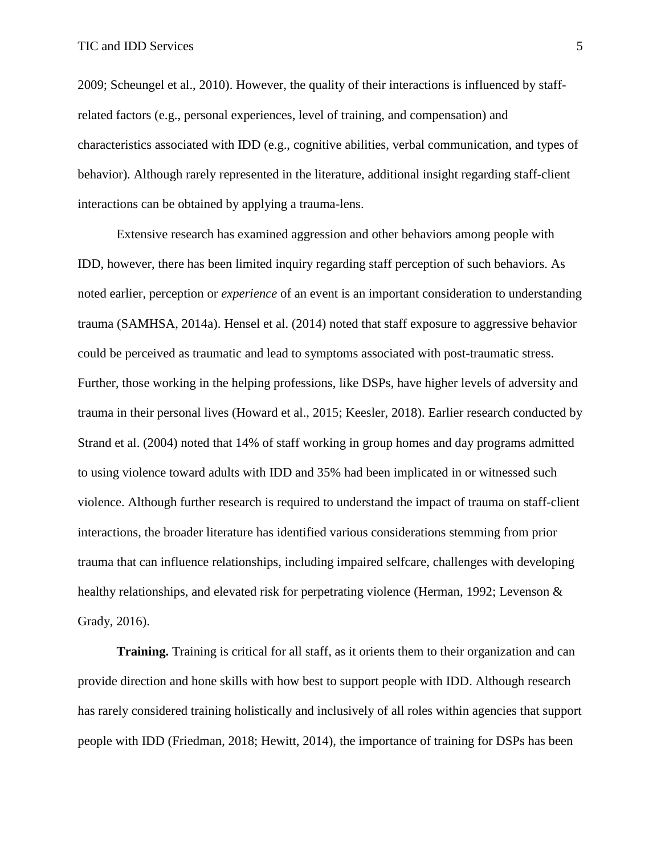2009; Scheungel et al., 2010). However, the quality of their interactions is influenced by staffrelated factors (e.g., personal experiences, level of training, and compensation) and characteristics associated with IDD (e.g., cognitive abilities, verbal communication, and types of behavior). Although rarely represented in the literature, additional insight regarding staff-client interactions can be obtained by applying a trauma-lens.

Extensive research has examined aggression and other behaviors among people with IDD, however, there has been limited inquiry regarding staff perception of such behaviors. As noted earlier, perception or *experience* of an event is an important consideration to understanding trauma (SAMHSA, 2014a). Hensel et al. (2014) noted that staff exposure to aggressive behavior could be perceived as traumatic and lead to symptoms associated with post-traumatic stress. Further, those working in the helping professions, like DSPs, have higher levels of adversity and trauma in their personal lives (Howard et al., 2015; Keesler, 2018). Earlier research conducted by Strand et al. (2004) noted that 14% of staff working in group homes and day programs admitted to using violence toward adults with IDD and 35% had been implicated in or witnessed such violence. Although further research is required to understand the impact of trauma on staff-client interactions, the broader literature has identified various considerations stemming from prior trauma that can influence relationships, including impaired selfcare, challenges with developing healthy relationships, and elevated risk for perpetrating violence (Herman, 1992; Levenson & Grady, 2016).

**Training.** Training is critical for all staff, as it orients them to their organization and can provide direction and hone skills with how best to support people with IDD. Although research has rarely considered training holistically and inclusively of all roles within agencies that support people with IDD (Friedman, 2018; Hewitt, 2014), the importance of training for DSPs has been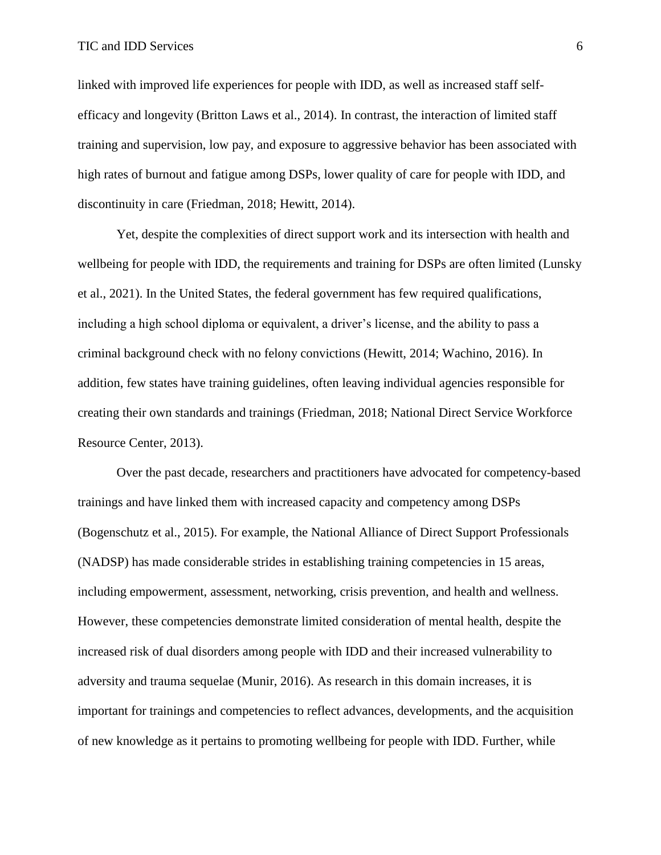linked with improved life experiences for people with IDD, as well as increased staff selfefficacy and longevity (Britton Laws et al., 2014). In contrast, the interaction of limited staff training and supervision, low pay, and exposure to aggressive behavior has been associated with high rates of burnout and fatigue among DSPs, lower quality of care for people with IDD, and discontinuity in care (Friedman, 2018; Hewitt, 2014).

Yet, despite the complexities of direct support work and its intersection with health and wellbeing for people with IDD, the requirements and training for DSPs are often limited (Lunsky et al., 2021). In the United States, the federal government has few required qualifications, including a high school diploma or equivalent, a driver's license, and the ability to pass a criminal background check with no felony convictions (Hewitt, 2014; Wachino, 2016). In addition, few states have training guidelines, often leaving individual agencies responsible for creating their own standards and trainings (Friedman, 2018; National Direct Service Workforce Resource Center, 2013).

Over the past decade, researchers and practitioners have advocated for competency-based trainings and have linked them with increased capacity and competency among DSPs (Bogenschutz et al., 2015). For example, the National Alliance of Direct Support Professionals (NADSP) has made considerable strides in establishing training competencies in 15 areas, including empowerment, assessment, networking, crisis prevention, and health and wellness. However, these competencies demonstrate limited consideration of mental health, despite the increased risk of dual disorders among people with IDD and their increased vulnerability to adversity and trauma sequelae (Munir, 2016). As research in this domain increases, it is important for trainings and competencies to reflect advances, developments, and the acquisition of new knowledge as it pertains to promoting wellbeing for people with IDD. Further, while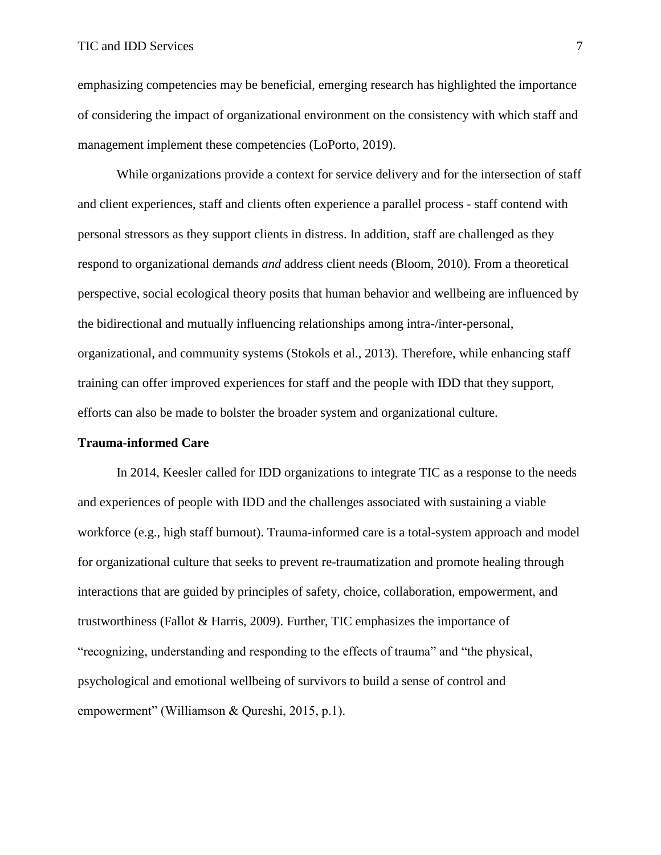emphasizing competencies may be beneficial, emerging research has highlighted the importance of considering the impact of organizational environment on the consistency with which staff and management implement these competencies (LoPorto, 2019).

While organizations provide a context for service delivery and for the intersection of staff and client experiences, staff and clients often experience a parallel process - staff contend with personal stressors as they support clients in distress. In addition, staff are challenged as they respond to organizational demands *and* address client needs (Bloom, 2010). From a theoretical perspective, social ecological theory posits that human behavior and wellbeing are influenced by the bidirectional and mutually influencing relationships among intra-/inter-personal, organizational, and community systems (Stokols et al., 2013). Therefore, while enhancing staff training can offer improved experiences for staff and the people with IDD that they support, efforts can also be made to bolster the broader system and organizational culture.

## **Trauma-informed Care**

In 2014, Keesler called for IDD organizations to integrate TIC as a response to the needs and experiences of people with IDD and the challenges associated with sustaining a viable workforce (e.g., high staff burnout). Trauma-informed care is a total-system approach and model for organizational culture that seeks to prevent re-traumatization and promote healing through interactions that are guided by principles of safety, choice, collaboration, empowerment, and trustworthiness (Fallot & Harris, 2009). Further, TIC emphasizes the importance of "recognizing, understanding and responding to the effects of trauma" and "the physical, psychological and emotional wellbeing of survivors to build a sense of control and empowerment" (Williamson & Qureshi, 2015, p.1).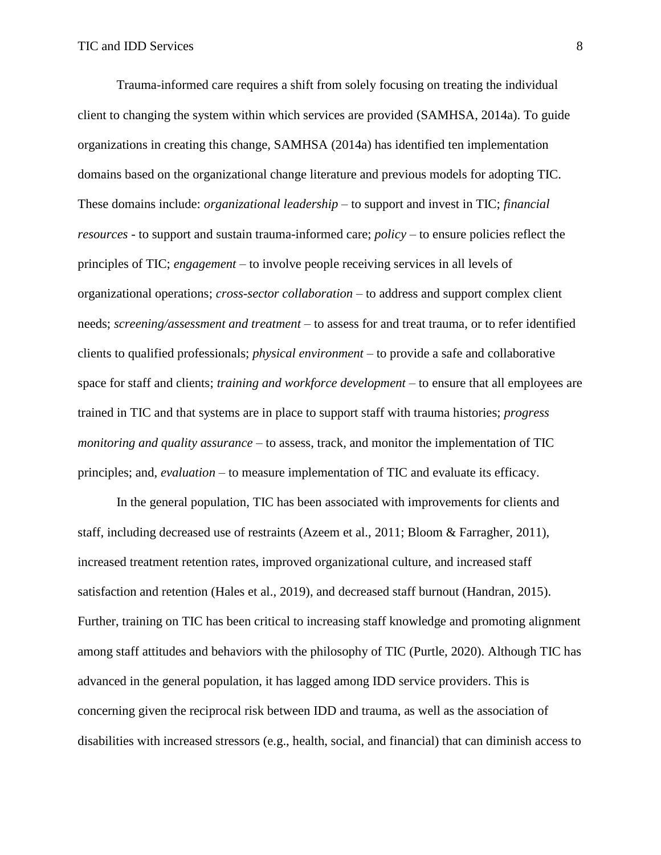Trauma-informed care requires a shift from solely focusing on treating the individual client to changing the system within which services are provided (SAMHSA, 2014a). To guide organizations in creating this change, SAMHSA (2014a) has identified ten implementation domains based on the organizational change literature and previous models for adopting TIC. These domains include: *organizational leadership* – to support and invest in TIC; *financial resources* - to support and sustain trauma-informed care; *policy* – to ensure policies reflect the principles of TIC; *engagement* – to involve people receiving services in all levels of organizational operations; *cross-sector collaboration* – to address and support complex client needs; *screening/assessment and treatment* – to assess for and treat trauma, or to refer identified clients to qualified professionals; *physical environment* – to provide a safe and collaborative space for staff and clients; *training and workforce development* – to ensure that all employees are trained in TIC and that systems are in place to support staff with trauma histories; *progress monitoring and quality assurance* – to assess, track, and monitor the implementation of TIC principles; and, *evaluation* – to measure implementation of TIC and evaluate its efficacy.

In the general population, TIC has been associated with improvements for clients and staff, including decreased use of restraints (Azeem et al., 2011; Bloom & Farragher, 2011), increased treatment retention rates, improved organizational culture, and increased staff satisfaction and retention (Hales et al., 2019), and decreased staff burnout (Handran, 2015). Further, training on TIC has been critical to increasing staff knowledge and promoting alignment among staff attitudes and behaviors with the philosophy of TIC (Purtle, 2020). Although TIC has advanced in the general population, it has lagged among IDD service providers. This is concerning given the reciprocal risk between IDD and trauma, as well as the association of disabilities with increased stressors (e.g., health, social, and financial) that can diminish access to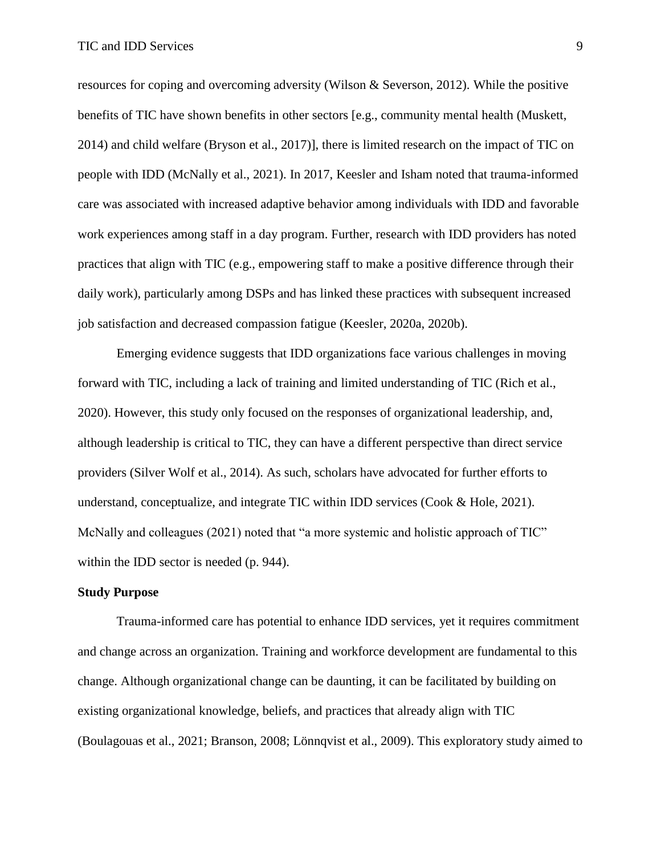resources for coping and overcoming adversity (Wilson & Severson, 2012). While the positive benefits of TIC have shown benefits in other sectors [e.g., community mental health (Muskett, 2014) and child welfare (Bryson et al., 2017)], there is limited research on the impact of TIC on people with IDD (McNally et al., 2021). In 2017, Keesler and Isham noted that trauma-informed care was associated with increased adaptive behavior among individuals with IDD and favorable work experiences among staff in a day program. Further, research with IDD providers has noted practices that align with TIC (e.g., empowering staff to make a positive difference through their daily work), particularly among DSPs and has linked these practices with subsequent increased job satisfaction and decreased compassion fatigue (Keesler, 2020a, 2020b).

Emerging evidence suggests that IDD organizations face various challenges in moving forward with TIC, including a lack of training and limited understanding of TIC (Rich et al., 2020). However, this study only focused on the responses of organizational leadership, and, although leadership is critical to TIC, they can have a different perspective than direct service providers (Silver Wolf et al., 2014). As such, scholars have advocated for further efforts to understand, conceptualize, and integrate TIC within IDD services (Cook & Hole, 2021). McNally and colleagues (2021) noted that "a more systemic and holistic approach of TIC" within the IDD sector is needed (p. 944).

## **Study Purpose**

Trauma-informed care has potential to enhance IDD services, yet it requires commitment and change across an organization. Training and workforce development are fundamental to this change. Although organizational change can be daunting, it can be facilitated by building on existing organizational knowledge, beliefs, and practices that already align with TIC (Boulagouas et al., 2021; Branson, 2008; Lönnqvist et al., 2009). This exploratory study aimed to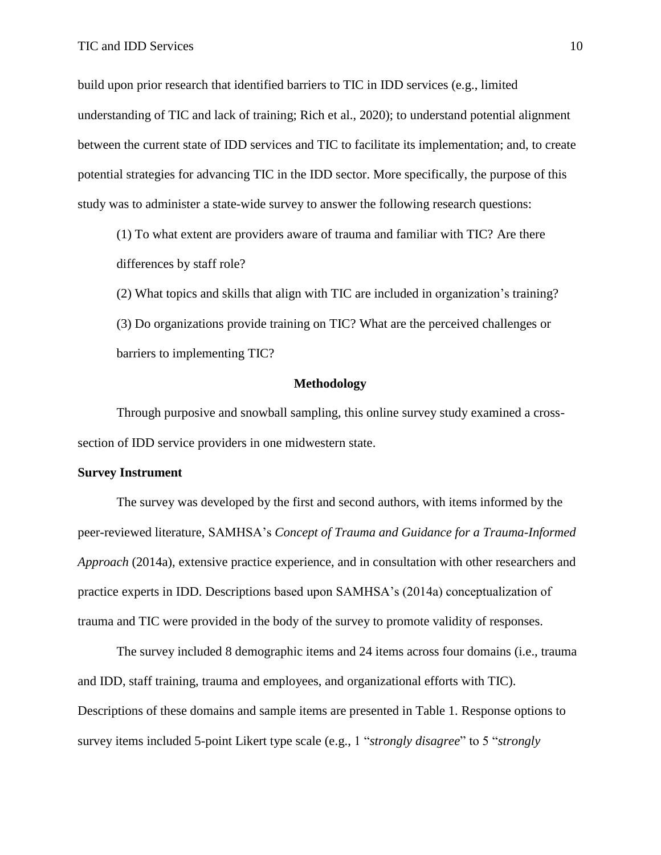build upon prior research that identified barriers to TIC in IDD services (e.g., limited understanding of TIC and lack of training; Rich et al., 2020); to understand potential alignment between the current state of IDD services and TIC to facilitate its implementation; and, to create potential strategies for advancing TIC in the IDD sector. More specifically, the purpose of this study was to administer a state-wide survey to answer the following research questions:

(1) To what extent are providers aware of trauma and familiar with TIC? Are there differences by staff role?

(2) What topics and skills that align with TIC are included in organization's training? (3) Do organizations provide training on TIC? What are the perceived challenges or barriers to implementing TIC?

## **Methodology**

Through purposive and snowball sampling, this online survey study examined a crosssection of IDD service providers in one midwestern state.

## **Survey Instrument**

The survey was developed by the first and second authors, with items informed by the peer-reviewed literature, SAMHSA's *Concept of Trauma and Guidance for a Trauma-Informed Approach* (2014a), extensive practice experience, and in consultation with other researchers and practice experts in IDD. Descriptions based upon SAMHSA's (2014a) conceptualization of trauma and TIC were provided in the body of the survey to promote validity of responses.

The survey included 8 demographic items and 24 items across four domains (i.e., trauma and IDD, staff training, trauma and employees, and organizational efforts with TIC). Descriptions of these domains and sample items are presented in Table 1. Response options to survey items included 5-point Likert type scale (e.g., 1 "*strongly disagree*" to 5 "*strongly*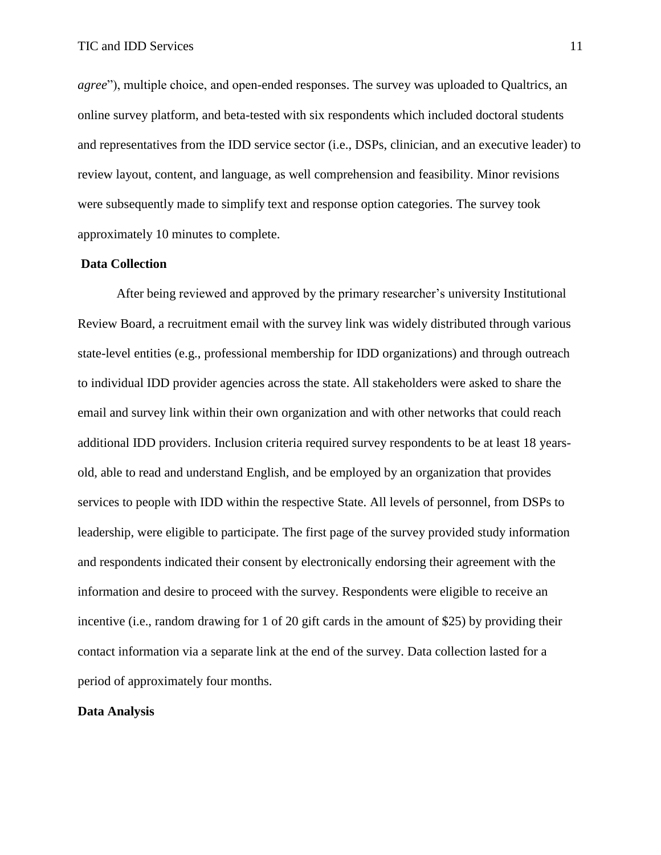*agree*"), multiple choice, and open-ended responses. The survey was uploaded to Qualtrics, an online survey platform, and beta-tested with six respondents which included doctoral students and representatives from the IDD service sector (i.e., DSPs, clinician, and an executive leader) to review layout, content, and language, as well comprehension and feasibility. Minor revisions were subsequently made to simplify text and response option categories. The survey took approximately 10 minutes to complete.

## **Data Collection**

After being reviewed and approved by the primary researcher's university Institutional Review Board, a recruitment email with the survey link was widely distributed through various state-level entities (e.g., professional membership for IDD organizations) and through outreach to individual IDD provider agencies across the state. All stakeholders were asked to share the email and survey link within their own organization and with other networks that could reach additional IDD providers. Inclusion criteria required survey respondents to be at least 18 yearsold, able to read and understand English, and be employed by an organization that provides services to people with IDD within the respective State. All levels of personnel, from DSPs to leadership, were eligible to participate. The first page of the survey provided study information and respondents indicated their consent by electronically endorsing their agreement with the information and desire to proceed with the survey. Respondents were eligible to receive an incentive (i.e., random drawing for 1 of 20 gift cards in the amount of \$25) by providing their contact information via a separate link at the end of the survey. Data collection lasted for a period of approximately four months.

## **Data Analysis**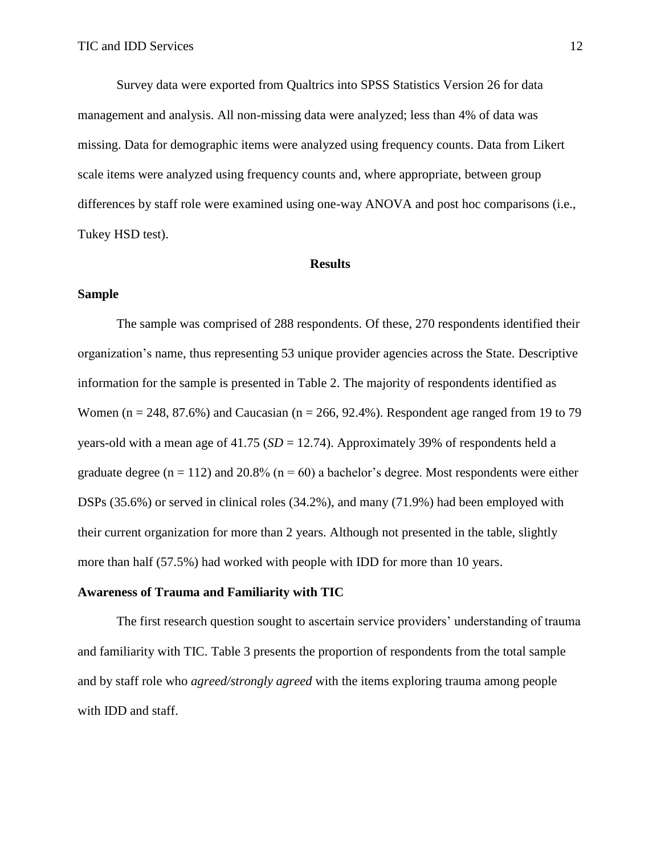Survey data were exported from Qualtrics into SPSS Statistics Version 26 for data management and analysis. All non-missing data were analyzed; less than 4% of data was missing. Data for demographic items were analyzed using frequency counts. Data from Likert scale items were analyzed using frequency counts and, where appropriate, between group differences by staff role were examined using one-way ANOVA and post hoc comparisons (i.e., Tukey HSD test).

#### **Results**

## **Sample**

The sample was comprised of 288 respondents. Of these, 270 respondents identified their organization's name, thus representing 53 unique provider agencies across the State. Descriptive information for the sample is presented in Table 2. The majority of respondents identified as Women ( $n = 248, 87.6\%$ ) and Caucasian ( $n = 266, 92.4\%$ ). Respondent age ranged from 19 to 79 years-old with a mean age of 41.75 (*SD* = 12.74). Approximately 39% of respondents held a graduate degree ( $n = 112$ ) and 20.8% ( $n = 60$ ) a bachelor's degree. Most respondents were either DSPs (35.6%) or served in clinical roles (34.2%), and many (71.9%) had been employed with their current organization for more than 2 years. Although not presented in the table, slightly more than half (57.5%) had worked with people with IDD for more than 10 years.

## **Awareness of Trauma and Familiarity with TIC**

The first research question sought to ascertain service providers' understanding of trauma and familiarity with TIC. Table 3 presents the proportion of respondents from the total sample and by staff role who *agreed/strongly agreed* with the items exploring trauma among people with IDD and staff.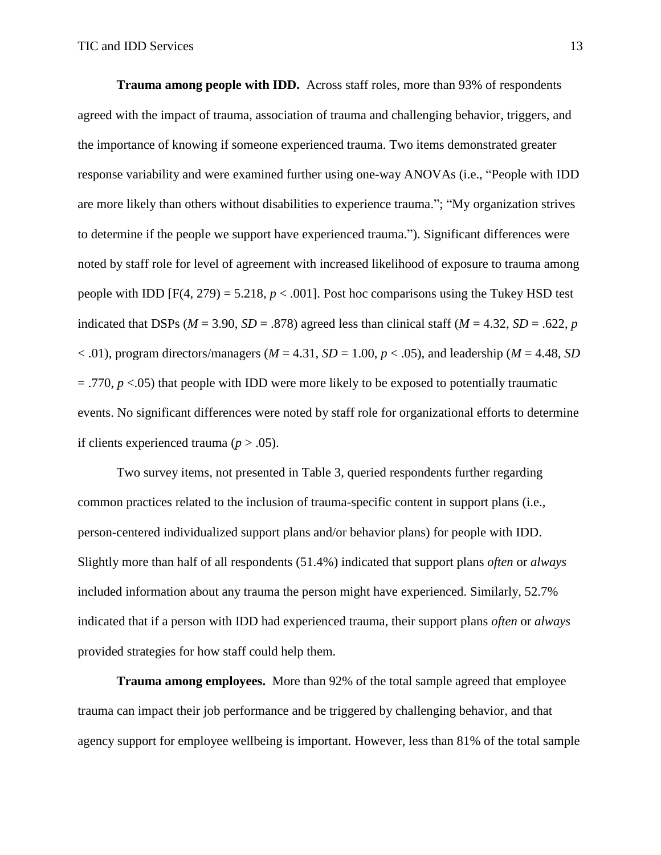**Trauma among people with IDD.** Across staff roles, more than 93% of respondents agreed with the impact of trauma, association of trauma and challenging behavior, triggers, and the importance of knowing if someone experienced trauma. Two items demonstrated greater response variability and were examined further using one-way ANOVAs (i.e., "People with IDD are more likely than others without disabilities to experience trauma."; "My organization strives to determine if the people we support have experienced trauma."). Significant differences were noted by staff role for level of agreement with increased likelihood of exposure to trauma among people with IDD  $[F(4, 279) = 5.218, p < .001]$ . Post hoc comparisons using the Tukey HSD test indicated that DSPs ( $M = 3.90$ ,  $SD = .878$ ) agreed less than clinical staff ( $M = 4.32$ ,  $SD = .622$ , *p*  $<$  0.01), program directors/managers ( $M = 4.31$ ,  $SD = 1.00$ ,  $p < 0.05$ ), and leadership ( $M = 4.48$ , *SD*)  $=$  .770,  $p$  <.05) that people with IDD were more likely to be exposed to potentially traumatic events. No significant differences were noted by staff role for organizational efforts to determine if clients experienced trauma ( $p > .05$ ).

Two survey items, not presented in Table 3, queried respondents further regarding common practices related to the inclusion of trauma-specific content in support plans (i.e., person-centered individualized support plans and/or behavior plans) for people with IDD. Slightly more than half of all respondents (51.4%) indicated that support plans *often* or *always*  included information about any trauma the person might have experienced. Similarly, 52.7% indicated that if a person with IDD had experienced trauma, their support plans *often* or *always* provided strategies for how staff could help them.

**Trauma among employees.** More than 92% of the total sample agreed that employee trauma can impact their job performance and be triggered by challenging behavior, and that agency support for employee wellbeing is important. However, less than 81% of the total sample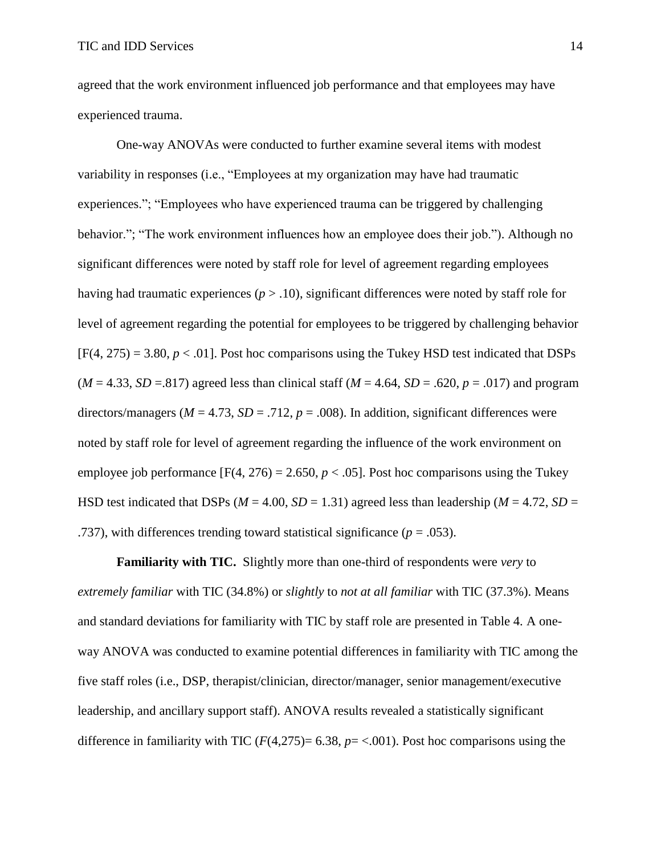agreed that the work environment influenced job performance and that employees may have experienced trauma.

One-way ANOVAs were conducted to further examine several items with modest variability in responses (i.e., "Employees at my organization may have had traumatic experiences."; "Employees who have experienced trauma can be triggered by challenging behavior."; "The work environment influences how an employee does their job."). Although no significant differences were noted by staff role for level of agreement regarding employees having had traumatic experiences (*p* > .10), significant differences were noted by staff role for level of agreement regarding the potential for employees to be triggered by challenging behavior  $[F(4, 275) = 3.80, p < .01]$ . Post hoc comparisons using the Tukey HSD test indicated that DSPs  $(M = 4.33, SD = 817)$  agreed less than clinical staff  $(M = 4.64, SD = .620, p = .017)$  and program directors/managers ( $M = 4.73$ ,  $SD = .712$ ,  $p = .008$ ). In addition, significant differences were noted by staff role for level of agreement regarding the influence of the work environment on employee job performance  $[F(4, 276) = 2.650, p < .05]$ . Post hoc comparisons using the Tukey HSD test indicated that DSPs ( $M = 4.00$ ,  $SD = 1.31$ ) agreed less than leadership ( $M = 4.72$ ,  $SD = 1.31$ ) .737), with differences trending toward statistical significance  $(p = .053)$ .

**Familiarity with TIC.** Slightly more than one-third of respondents were *very* to *extremely familiar* with TIC (34.8%) or *slightly* to *not at all familiar* with TIC (37.3%). Means and standard deviations for familiarity with TIC by staff role are presented in Table 4. A oneway ANOVA was conducted to examine potential differences in familiarity with TIC among the five staff roles (i.e., DSP, therapist/clinician, director/manager, senior management/executive leadership, and ancillary support staff). ANOVA results revealed a statistically significant difference in familiarity with TIC  $(F(4,275)= 6.38, p = <.001)$ . Post hoc comparisons using the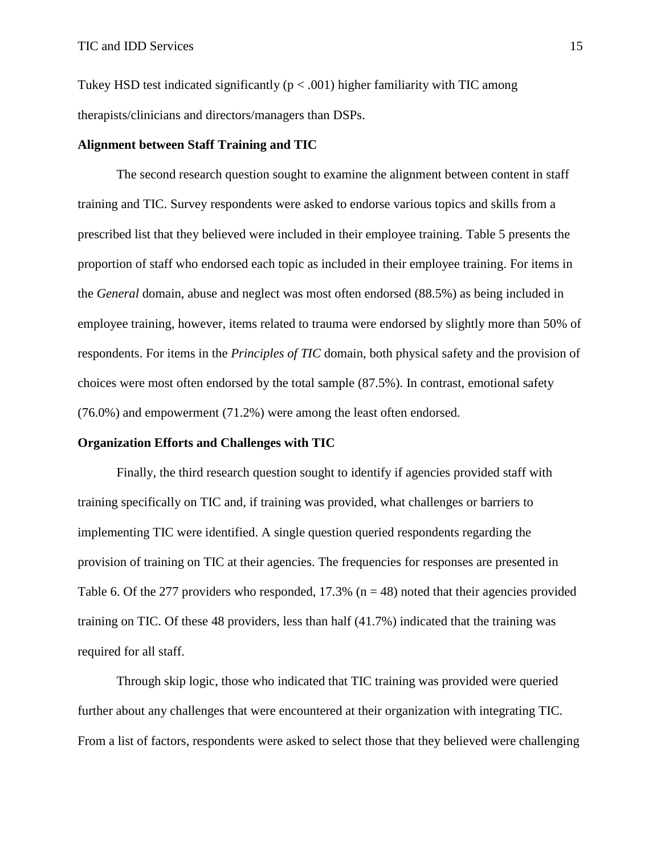Tukey HSD test indicated significantly ( $p < .001$ ) higher familiarity with TIC among therapists/clinicians and directors/managers than DSPs.

## **Alignment between Staff Training and TIC**

The second research question sought to examine the alignment between content in staff training and TIC. Survey respondents were asked to endorse various topics and skills from a prescribed list that they believed were included in their employee training. Table 5 presents the proportion of staff who endorsed each topic as included in their employee training. For items in the *General* domain, abuse and neglect was most often endorsed (88.5%) as being included in employee training, however, items related to trauma were endorsed by slightly more than 50% of respondents. For items in the *Principles of TIC* domain, both physical safety and the provision of choices were most often endorsed by the total sample (87.5%). In contrast, emotional safety (76.0%) and empowerment (71.2%) were among the least often endorsed.

## **Organization Efforts and Challenges with TIC**

Finally, the third research question sought to identify if agencies provided staff with training specifically on TIC and, if training was provided, what challenges or barriers to implementing TIC were identified. A single question queried respondents regarding the provision of training on TIC at their agencies. The frequencies for responses are presented in Table 6. Of the 277 providers who responded,  $17.3\%$  (n = 48) noted that their agencies provided training on TIC. Of these 48 providers, less than half (41.7%) indicated that the training was required for all staff.

Through skip logic, those who indicated that TIC training was provided were queried further about any challenges that were encountered at their organization with integrating TIC. From a list of factors, respondents were asked to select those that they believed were challenging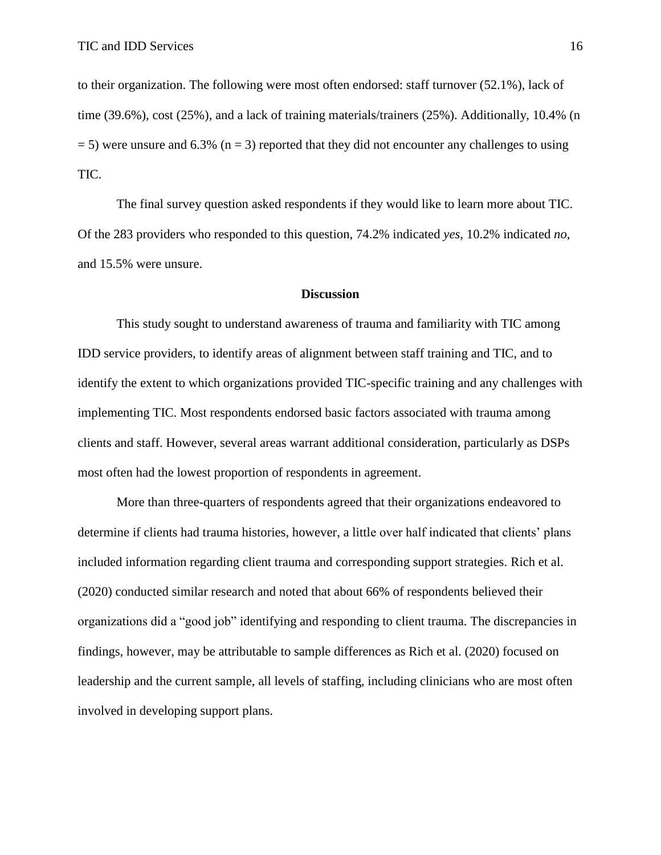to their organization. The following were most often endorsed: staff turnover (52.1%), lack of time (39.6%), cost (25%), and a lack of training materials/trainers (25%). Additionally, 10.4% (n  $=$  5) were unsure and 6.3% (n  $=$  3) reported that they did not encounter any challenges to using TIC.

The final survey question asked respondents if they would like to learn more about TIC. Of the 283 providers who responded to this question, 74.2% indicated *yes*, 10.2% indicated *no*, and 15.5% were unsure.

### **Discussion**

This study sought to understand awareness of trauma and familiarity with TIC among IDD service providers, to identify areas of alignment between staff training and TIC, and to identify the extent to which organizations provided TIC-specific training and any challenges with implementing TIC. Most respondents endorsed basic factors associated with trauma among clients and staff. However, several areas warrant additional consideration, particularly as DSPs most often had the lowest proportion of respondents in agreement.

More than three-quarters of respondents agreed that their organizations endeavored to determine if clients had trauma histories, however, a little over half indicated that clients' plans included information regarding client trauma and corresponding support strategies. Rich et al. (2020) conducted similar research and noted that about 66% of respondents believed their organizations did a "good job" identifying and responding to client trauma. The discrepancies in findings, however, may be attributable to sample differences as Rich et al. (2020) focused on leadership and the current sample, all levels of staffing, including clinicians who are most often involved in developing support plans.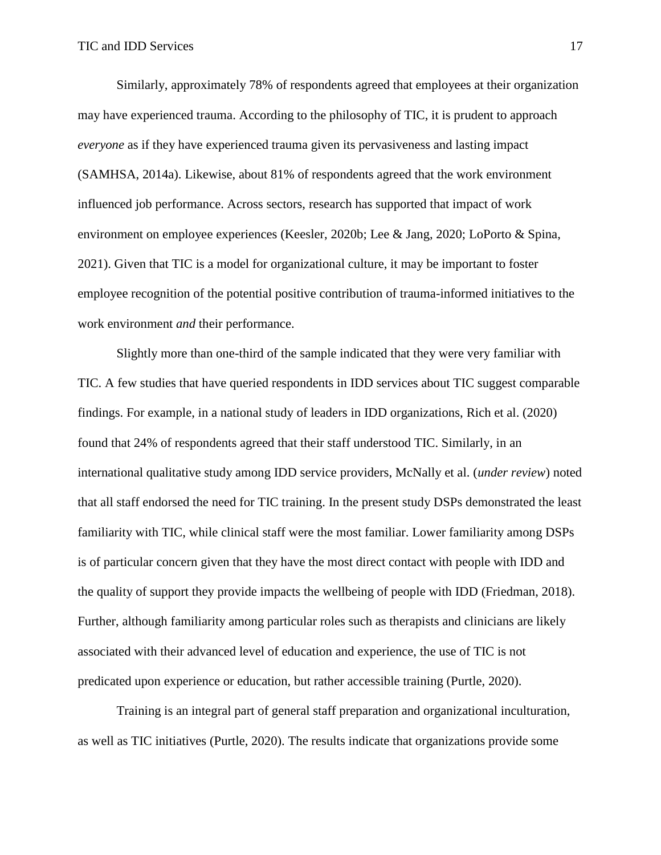Similarly, approximately 78% of respondents agreed that employees at their organization may have experienced trauma. According to the philosophy of TIC, it is prudent to approach *everyone* as if they have experienced trauma given its pervasiveness and lasting impact (SAMHSA, 2014a). Likewise, about 81% of respondents agreed that the work environment influenced job performance. Across sectors, research has supported that impact of work environment on employee experiences (Keesler, 2020b; Lee & Jang, 2020; LoPorto & Spina, 2021). Given that TIC is a model for organizational culture, it may be important to foster employee recognition of the potential positive contribution of trauma-informed initiatives to the work environment *and* their performance.

Slightly more than one-third of the sample indicated that they were very familiar with TIC. A few studies that have queried respondents in IDD services about TIC suggest comparable findings. For example, in a national study of leaders in IDD organizations, Rich et al. (2020) found that 24% of respondents agreed that their staff understood TIC. Similarly, in an international qualitative study among IDD service providers, McNally et al. (*under review*) noted that all staff endorsed the need for TIC training. In the present study DSPs demonstrated the least familiarity with TIC, while clinical staff were the most familiar. Lower familiarity among DSPs is of particular concern given that they have the most direct contact with people with IDD and the quality of support they provide impacts the wellbeing of people with IDD (Friedman, 2018). Further, although familiarity among particular roles such as therapists and clinicians are likely associated with their advanced level of education and experience, the use of TIC is not predicated upon experience or education, but rather accessible training (Purtle, 2020).

Training is an integral part of general staff preparation and organizational inculturation, as well as TIC initiatives (Purtle, 2020). The results indicate that organizations provide some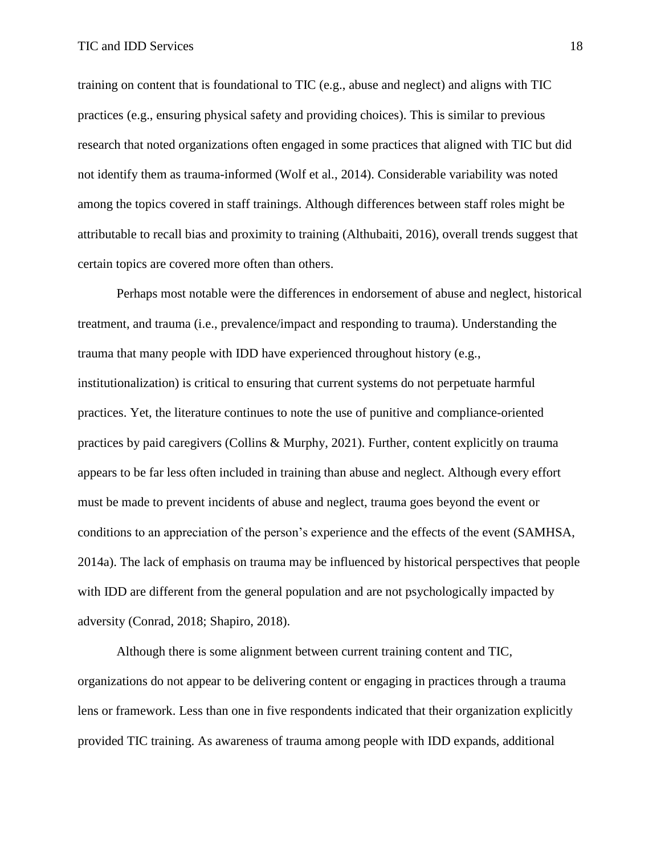training on content that is foundational to TIC (e.g., abuse and neglect) and aligns with TIC practices (e.g., ensuring physical safety and providing choices). This is similar to previous research that noted organizations often engaged in some practices that aligned with TIC but did not identify them as trauma-informed (Wolf et al., 2014). Considerable variability was noted among the topics covered in staff trainings. Although differences between staff roles might be attributable to recall bias and proximity to training (Althubaiti, 2016), overall trends suggest that certain topics are covered more often than others.

Perhaps most notable were the differences in endorsement of abuse and neglect, historical treatment, and trauma (i.e., prevalence/impact and responding to trauma). Understanding the trauma that many people with IDD have experienced throughout history (e.g., institutionalization) is critical to ensuring that current systems do not perpetuate harmful practices. Yet, the literature continues to note the use of punitive and compliance-oriented practices by paid caregivers (Collins & Murphy, 2021). Further, content explicitly on trauma appears to be far less often included in training than abuse and neglect. Although every effort must be made to prevent incidents of abuse and neglect, trauma goes beyond the event or conditions to an appreciation of the person's experience and the effects of the event (SAMHSA, 2014a). The lack of emphasis on trauma may be influenced by historical perspectives that people with IDD are different from the general population and are not psychologically impacted by adversity (Conrad, 2018; Shapiro, 2018).

Although there is some alignment between current training content and TIC, organizations do not appear to be delivering content or engaging in practices through a trauma lens or framework. Less than one in five respondents indicated that their organization explicitly provided TIC training. As awareness of trauma among people with IDD expands, additional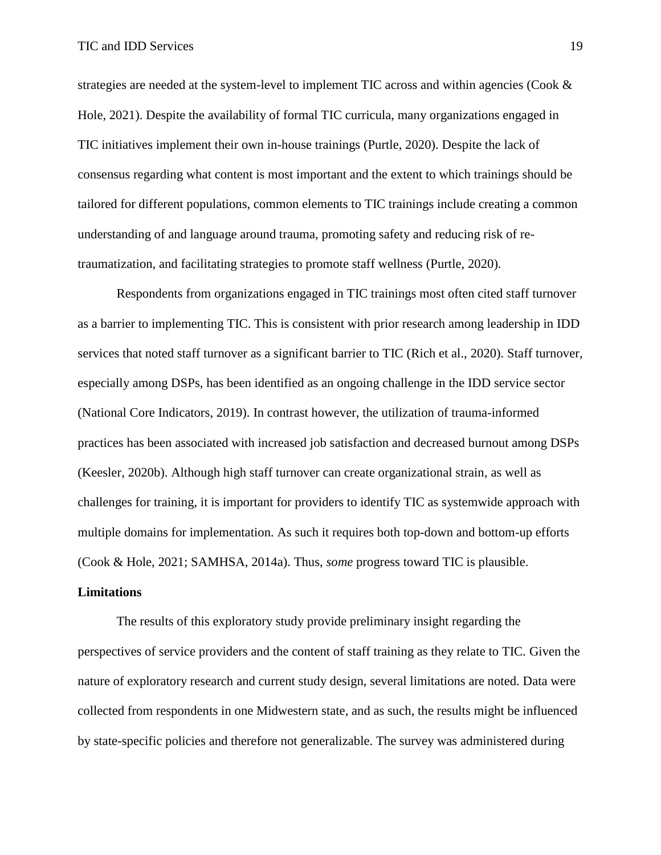strategies are needed at the system-level to implement TIC across and within agencies (Cook  $\&$ Hole, 2021). Despite the availability of formal TIC curricula, many organizations engaged in TIC initiatives implement their own in-house trainings (Purtle, 2020). Despite the lack of consensus regarding what content is most important and the extent to which trainings should be tailored for different populations, common elements to TIC trainings include creating a common understanding of and language around trauma, promoting safety and reducing risk of retraumatization, and facilitating strategies to promote staff wellness (Purtle, 2020).

Respondents from organizations engaged in TIC trainings most often cited staff turnover as a barrier to implementing TIC. This is consistent with prior research among leadership in IDD services that noted staff turnover as a significant barrier to TIC (Rich et al., 2020). Staff turnover, especially among DSPs, has been identified as an ongoing challenge in the IDD service sector (National Core Indicators, 2019). In contrast however, the utilization of trauma-informed practices has been associated with increased job satisfaction and decreased burnout among DSPs (Keesler, 2020b). Although high staff turnover can create organizational strain, as well as challenges for training, it is important for providers to identify TIC as systemwide approach with multiple domains for implementation. As such it requires both top-down and bottom-up efforts (Cook & Hole, 2021; SAMHSA, 2014a). Thus, *some* progress toward TIC is plausible.

#### **Limitations**

The results of this exploratory study provide preliminary insight regarding the perspectives of service providers and the content of staff training as they relate to TIC. Given the nature of exploratory research and current study design, several limitations are noted. Data were collected from respondents in one Midwestern state, and as such, the results might be influenced by state-specific policies and therefore not generalizable. The survey was administered during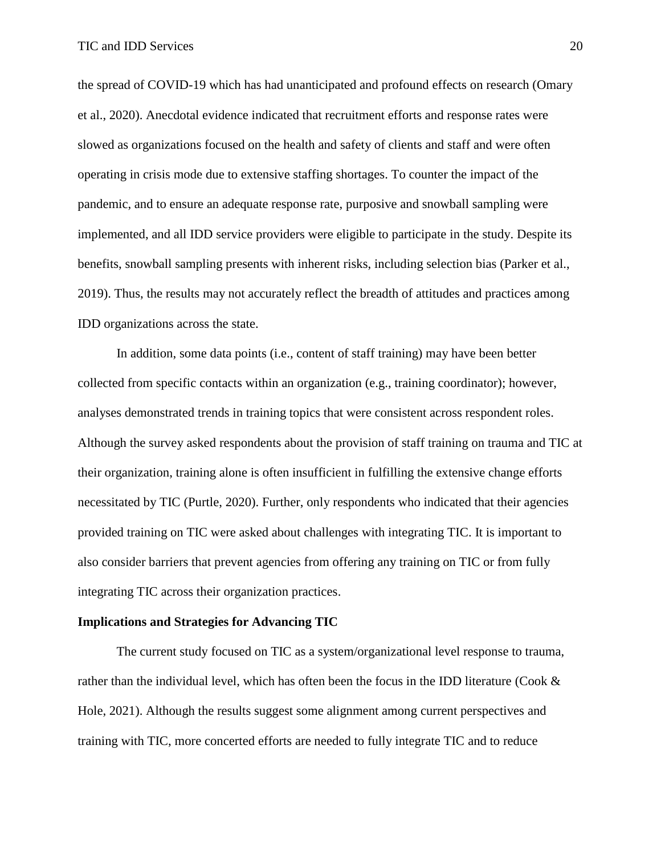the spread of COVID-19 which has had unanticipated and profound effects on research (Omary et al., 2020). Anecdotal evidence indicated that recruitment efforts and response rates were slowed as organizations focused on the health and safety of clients and staff and were often operating in crisis mode due to extensive staffing shortages. To counter the impact of the pandemic, and to ensure an adequate response rate, purposive and snowball sampling were implemented, and all IDD service providers were eligible to participate in the study. Despite its benefits, snowball sampling presents with inherent risks, including selection bias (Parker et al., 2019). Thus, the results may not accurately reflect the breadth of attitudes and practices among IDD organizations across the state.

In addition, some data points (i.e., content of staff training) may have been better collected from specific contacts within an organization (e.g., training coordinator); however, analyses demonstrated trends in training topics that were consistent across respondent roles. Although the survey asked respondents about the provision of staff training on trauma and TIC at their organization, training alone is often insufficient in fulfilling the extensive change efforts necessitated by TIC (Purtle, 2020). Further, only respondents who indicated that their agencies provided training on TIC were asked about challenges with integrating TIC. It is important to also consider barriers that prevent agencies from offering any training on TIC or from fully integrating TIC across their organization practices.

## **Implications and Strategies for Advancing TIC**

The current study focused on TIC as a system/organizational level response to trauma, rather than the individual level, which has often been the focus in the IDD literature (Cook  $\&$ Hole, 2021). Although the results suggest some alignment among current perspectives and training with TIC, more concerted efforts are needed to fully integrate TIC and to reduce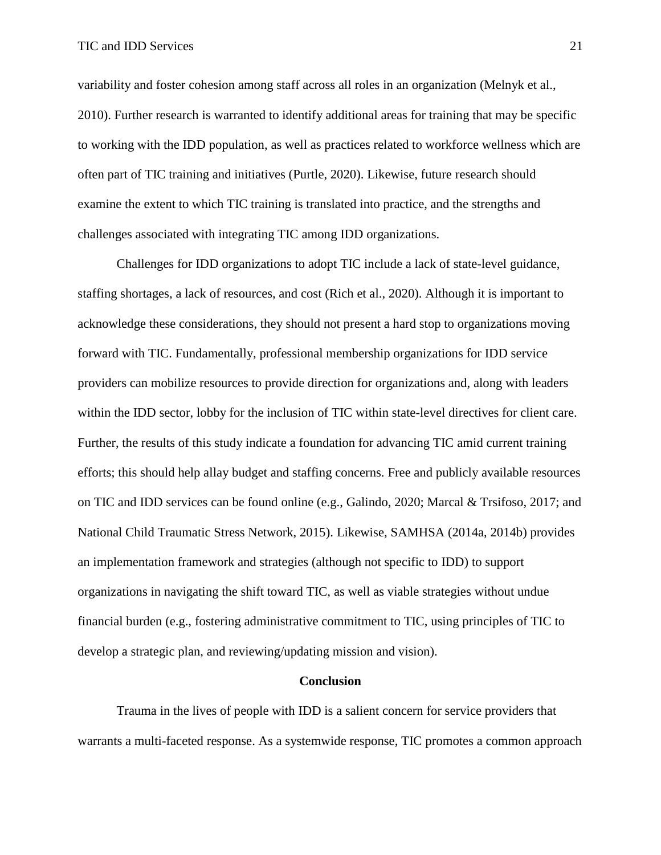variability and foster cohesion among staff across all roles in an organization (Melnyk et al., 2010). Further research is warranted to identify additional areas for training that may be specific to working with the IDD population, as well as practices related to workforce wellness which are often part of TIC training and initiatives (Purtle, 2020). Likewise, future research should examine the extent to which TIC training is translated into practice, and the strengths and challenges associated with integrating TIC among IDD organizations.

Challenges for IDD organizations to adopt TIC include a lack of state-level guidance, staffing shortages, a lack of resources, and cost (Rich et al., 2020). Although it is important to acknowledge these considerations, they should not present a hard stop to organizations moving forward with TIC. Fundamentally, professional membership organizations for IDD service providers can mobilize resources to provide direction for organizations and, along with leaders within the IDD sector, lobby for the inclusion of TIC within state-level directives for client care. Further, the results of this study indicate a foundation for advancing TIC amid current training efforts; this should help allay budget and staffing concerns. Free and publicly available resources on TIC and IDD services can be found online (e.g., Galindo, 2020; Marcal & Trsifoso, 2017; and National Child Traumatic Stress Network, 2015). Likewise, SAMHSA (2014a, 2014b) provides an implementation framework and strategies (although not specific to IDD) to support organizations in navigating the shift toward TIC, as well as viable strategies without undue financial burden (e.g., fostering administrative commitment to TIC, using principles of TIC to develop a strategic plan, and reviewing/updating mission and vision).

### **Conclusion**

Trauma in the lives of people with IDD is a salient concern for service providers that warrants a multi-faceted response. As a systemwide response, TIC promotes a common approach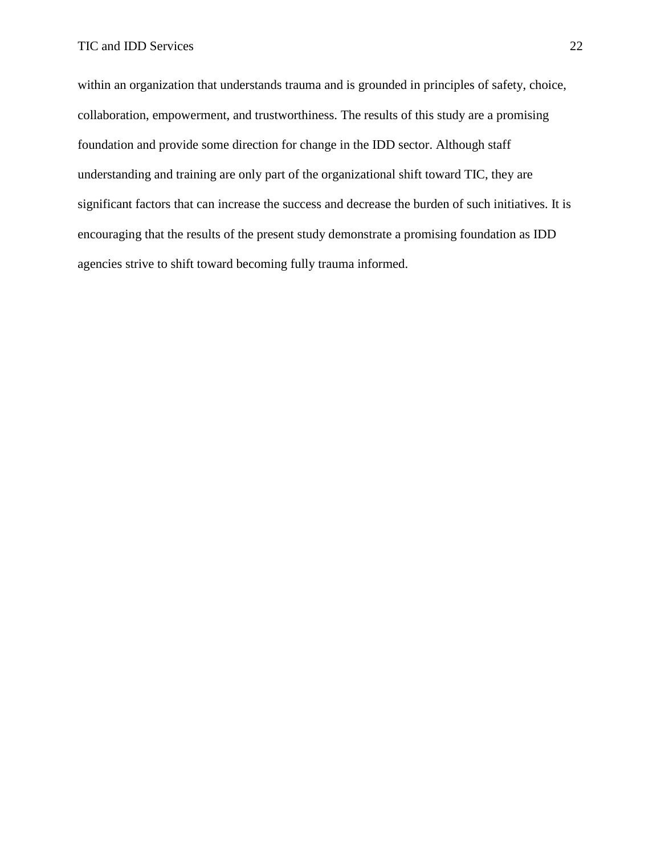within an organization that understands trauma and is grounded in principles of safety, choice, collaboration, empowerment, and trustworthiness. The results of this study are a promising foundation and provide some direction for change in the IDD sector. Although staff understanding and training are only part of the organizational shift toward TIC, they are significant factors that can increase the success and decrease the burden of such initiatives. It is encouraging that the results of the present study demonstrate a promising foundation as IDD agencies strive to shift toward becoming fully trauma informed.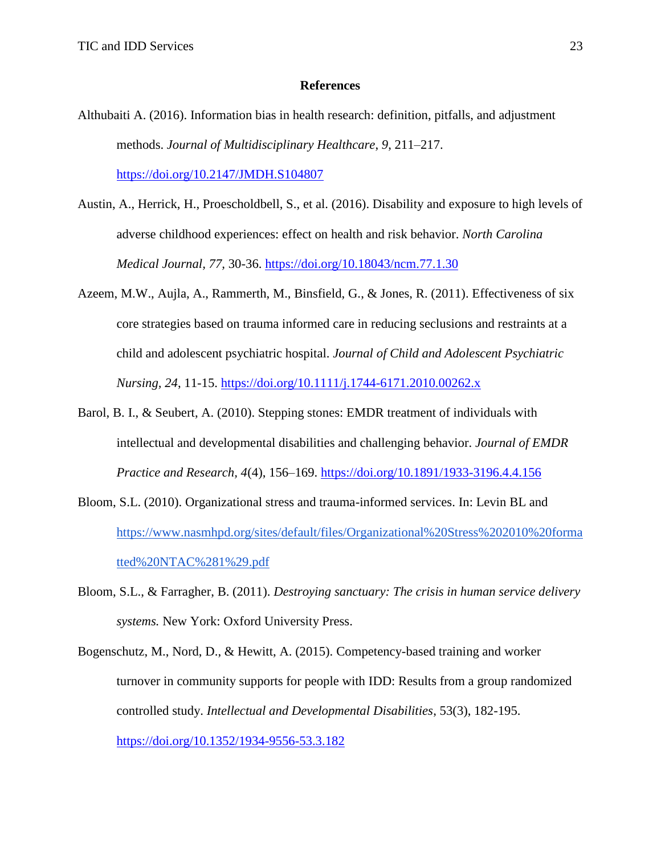## **References**

- Althubaiti A. (2016). Information bias in health research: definition, pitfalls, and adjustment methods. *Journal of Multidisciplinary Healthcare*, *9*, 211–217. [https://doi.org/10.2147/JMDH.S104807](about:blank)
- Austin, A., Herrick, H., Proescholdbell, S., et al. (2016). Disability and exposure to high levels of adverse childhood experiences: effect on health and risk behavior. *North Carolina Medical Journal, 77,* 30-36. [https://doi.org/10.18043/ncm.77.1.30](about:blank)
- Azeem, M.W., Aujla, A., Rammerth, M., Binsfield, G., & Jones, R. (2011). Effectiveness of six core strategies based on trauma informed care in reducing seclusions and restraints at a child and adolescent psychiatric hospital. *Journal of Child and Adolescent Psychiatric Nursing, 24*, 11-15. [https://doi.org/10.1111/j.1744-6171.2010.00262.x](about:blank)
- Barol, B. I., & Seubert, A. (2010). Stepping stones: EMDR treatment of individuals with intellectual and developmental disabilities and challenging behavior. *Journal of EMDR Practice and Research, 4*(4), 156–169. [https://doi.org/10.1891/1933-3196.4.4.156](about:blank)
- Bloom, S.L. (2010). Organizational stress and trauma-informed services. In: Levin BL and [https://www.nasmhpd.org/sites/default/files/Organizational%20Stress%202010%20forma](about:blank) [tted%20NTAC%281%29.pdf](about:blank)
- Bloom, S.L., & Farragher, B. (2011). *Destroying sanctuary: The crisis in human service delivery systems.* New York: Oxford University Press.
- Bogenschutz, M., Nord, D., & Hewitt, A. (2015). Competency-based training and worker turnover in community supports for people with IDD: Results from a group randomized controlled study. *Intellectual and Developmental Disabilities*, 53(3), 182-195. [https://doi.org/10.1352/1934-9556-53.3.182](about:blank)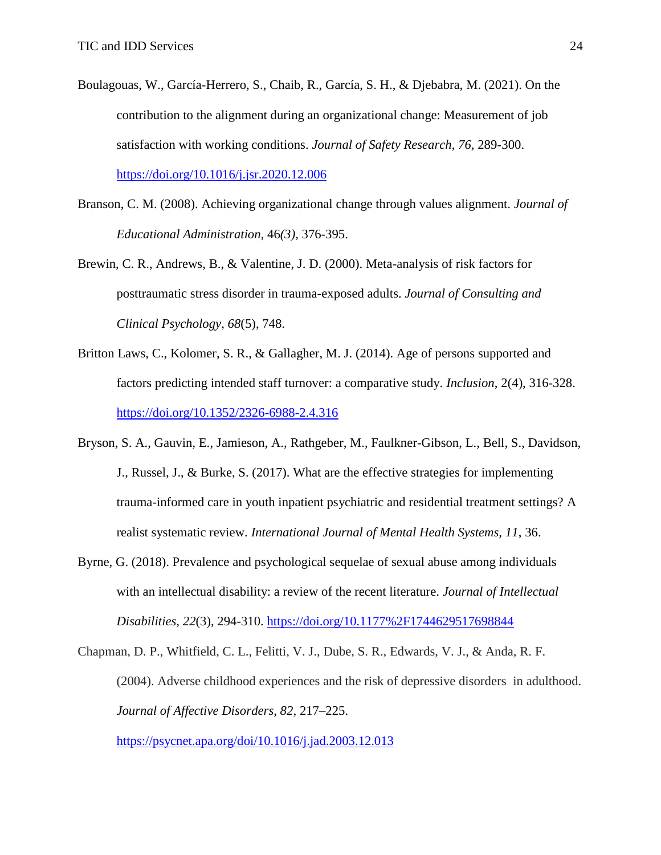- Boulagouas, W., García-Herrero, S., Chaib, R., García, S. H., & Djebabra, M. (2021). On the contribution to the alignment during an organizational change: Measurement of job satisfaction with working conditions. *Journal of Safety Research*, *76*, 289-300. [https://doi.org/10.1016/j.jsr.2020.12.006](about:blank)
- Branson, C. M. (2008). Achieving organizational change through values alignment. *Journal of Educational Administration*, 46*(3),* 376-395.
- Brewin, C. R., Andrews, B., & Valentine, J. D. (2000). Meta-analysis of risk factors for posttraumatic stress disorder in trauma-exposed adults. *Journal of Consulting and Clinical Psychology*, *68*(5), 748.
- Britton Laws, C., Kolomer, S. R., & Gallagher, M. J. (2014). Age of persons supported and factors predicting intended staff turnover: a comparative study. *Inclusion*, 2(4), 316-328. [https://doi.org/10.1352/2326-6988-2.4.316](about:blank)
- Bryson, S. A., Gauvin, E., Jamieson, A., Rathgeber, M., Faulkner-Gibson, L., Bell, S., Davidson, J., Russel, J., & Burke, S. (2017). What are the effective strategies for implementing trauma-informed care in youth inpatient psychiatric and residential treatment settings? A realist systematic review. *International Journal of Mental Health Systems, 11*, 36.
- Byrne, G. (2018). Prevalence and psychological sequelae of sexual abuse among individuals with an intellectual disability: a review of the recent literature. *Journal of Intellectual Disabilities, 22*(3), 294-310. [https://doi.org/10.1177%2F1744629517698844](about:blank)

Chapman, D. P., Whitfield, C. L., Felitti, V. J., Dube, S. R., Edwards, V. J., & Anda, R. F. (2004). Adverse childhood experiences and the risk of depressive disorders in adulthood. *Journal of Affective Disorders, 82*, 217–225.

<https://psycnet.apa.org/doi/10.1016/j.jad.2003.12.013>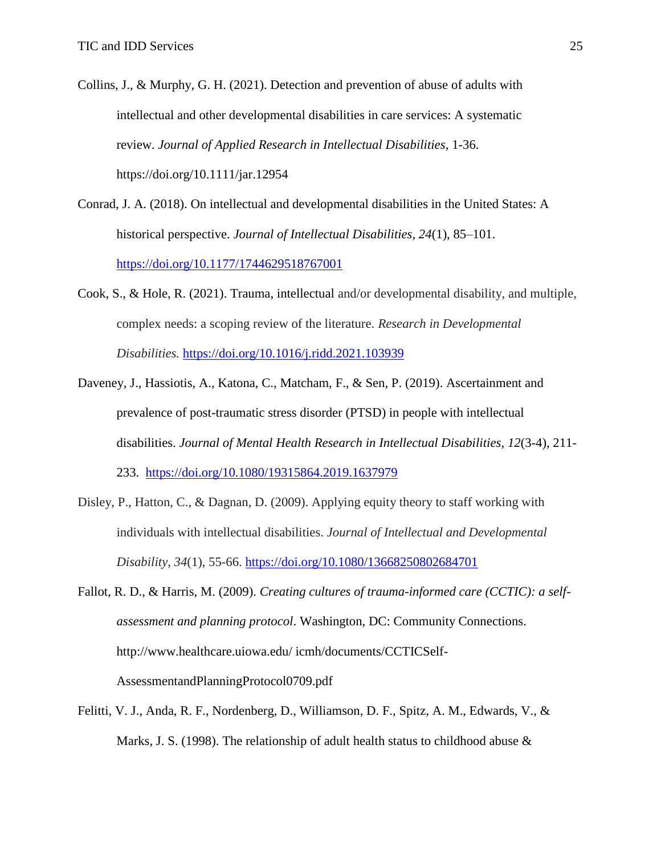- Collins, J., & Murphy, G. H. (2021). Detection and prevention of abuse of adults with intellectual and other developmental disabilities in care services: A systematic review. *Journal of Applied Research in Intellectual Disabilities*, 1-36. [https://doi.org/10.1111/jar.12954](about:blank)
- Conrad, J. A. (2018). On intellectual and developmental disabilities in the United States: A historical perspective. *Journal of Intellectual Disabilities, 24*(1), 85–101. [https://doi.org/10.1177/1744629518767001](about:blank)
- Cook, S., & Hole, R. (2021). Trauma, intellectual and/or developmental disability, and multiple, complex needs: a scoping review of the literature. *Research in Developmental Disabilities.* [https://doi.org/10.1016/j.ridd.2021.103939](about:blank)
- Daveney, J., Hassiotis, A., Katona, C., Matcham, F., & Sen, P. (2019). Ascertainment and prevalence of post-traumatic stress disorder (PTSD) in people with intellectual disabilities. *Journal of Mental Health Research in Intellectual Disabilities*, *12*(3-4), 211- 233. [https://doi.org/10.1080/19315864.2019.1637979](about:blank)
- Disley, P., Hatton, C., & Dagnan, D. (2009). Applying equity theory to staff working with individuals with intellectual disabilities. *Journal of Intellectual and Developmental Disability*, *34*(1), 55-66. <https://doi.org/10.1080/13668250802684701>
- Fallot, R. D., & Harris, M. (2009). *Creating cultures of trauma-informed care (CCTIC): a selfassessment and planning protocol*. Washington, DC: Community Connections. http://www.healthcare.uiowa.edu/ icmh/documents/CCTICSelf-AssessmentandPlanningProtocol0709.pdf
- Felitti, V. J., Anda, R. F., Nordenberg, D., Williamson, D. F., Spitz, A. M., Edwards, V., & Marks, J. S. (1998). The relationship of adult health status to childhood abuse  $\&$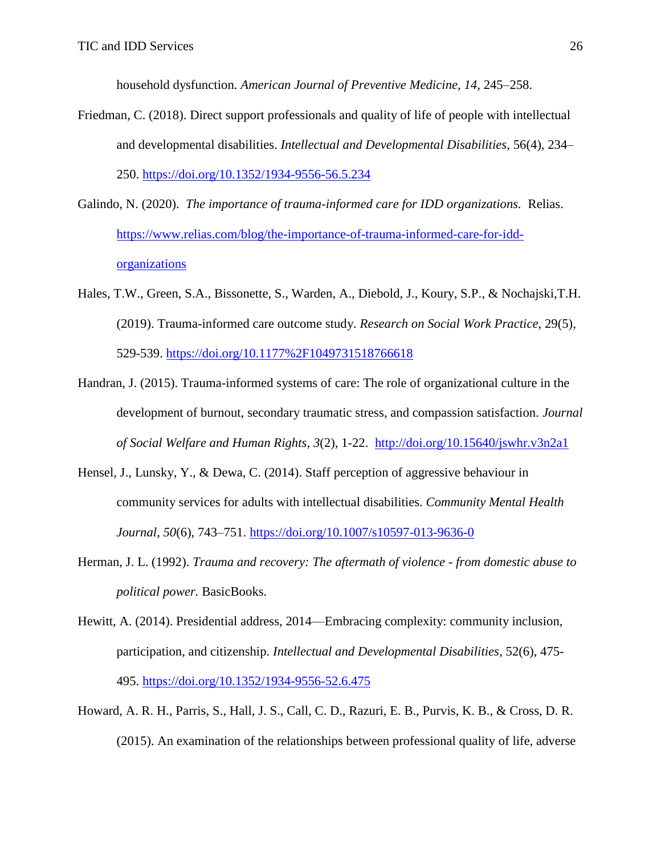household dysfunction. *American Journal of Preventive Medicine, 14*, 245–258.

- Friedman, C. (2018). Direct support professionals and quality of life of people with intellectual and developmental disabilities. *Intellectual and Developmental Disabilities,* 56(4), 234– 250. [https://doi.org/10.1352/1934-9556-56.5.234](about:blank)
- Galindo, N. (2020). *The importance of trauma-informed care for IDD organizations.* Relias. [https://www.relias.com/blog/the-importance-of-trauma-informed-care-for-idd](about:blank)[organizations](about:blank)
- Hales, T.W., Green, S.A., Bissonette, S., Warden, A., Diebold, J., Koury, S.P., & Nochajski,T.H. (2019). Trauma-informed care outcome study. *Research on Social Work Practice*, 29(5), 529-539.<https://doi.org/10.1177%2F1049731518766618>
- Handran, J. (2015). Trauma-informed systems of care: The role of organizational culture in the development of burnout, secondary traumatic stress, and compassion satisfaction. *Journal of Social Welfare and Human Rights*, *3*(2), 1-22. [http://doi.org/10.15640/jswhr.v3n2a1](about:blank)
- Hensel, J., Lunsky, Y., & Dewa, C. (2014). Staff perception of aggressive behaviour in community services for adults with intellectual disabilities. *Community Mental Health Journal*, *50*(6), 743–751. [https://doi.org/10.1007/s10597-013-9636-0](about:blank)
- Herman, J. L. (1992). *Trauma and recovery: The aftermath of violence - from domestic abuse to political power.* BasicBooks.
- Hewitt, A. (2014). Presidential address, 2014—Embracing complexity: community inclusion, participation, and citizenship. *Intellectual and Developmental Disabilities*, 52(6), 475- 495. [https://doi.org/10.1352/1934-9556-52.6.475](about:blank)
- Howard, A. R. H., Parris, S., Hall, J. S., Call, C. D., Razuri, E. B., Purvis, K. B., & Cross, D. R. (2015). An examination of the relationships between professional quality of life, adverse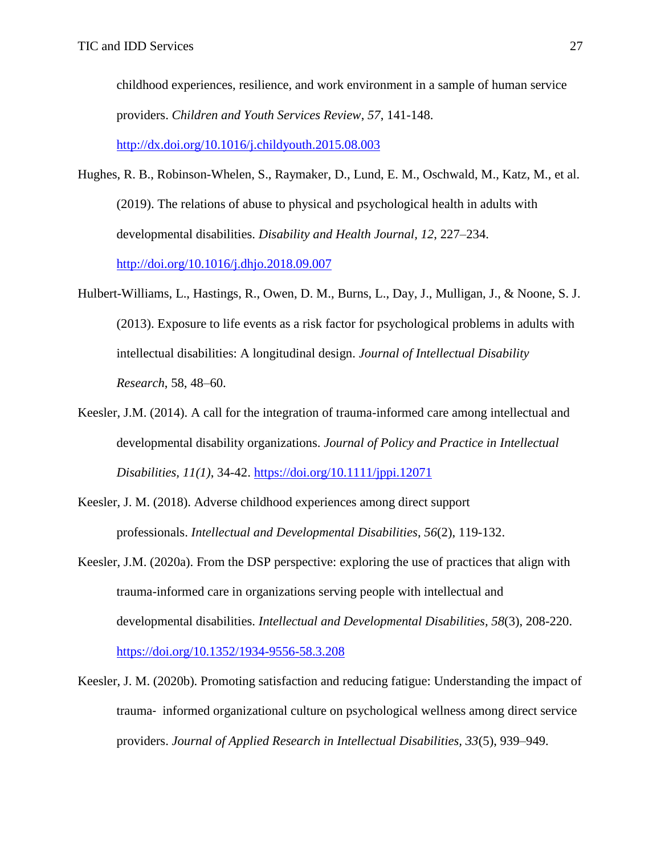childhood experiences, resilience, and work environment in a sample of human service providers. *Children and Youth Services Review*, *57*, 141-148.

[http://dx.doi.org/10.1016/j.childyouth.2015.08.003](about:blank)

- Hughes, R. B., Robinson-Whelen, S., Raymaker, D., Lund, E. M., Oschwald, M., Katz, M., et al. (2019). The relations of abuse to physical and psychological health in adults with developmental disabilities. *Disability and Health Journal, 12*, 227–234. <http://doi.org/10.1016/j.dhjo.2018.09.007>
- Hulbert-Williams, L., Hastings, R., Owen, D. M., Burns, L., Day, J., Mulligan, J., & Noone, S. J. (2013). Exposure to life events as a risk factor for psychological problems in adults with intellectual disabilities: A longitudinal design. *Journal of Intellectual Disability Research*, 58, 48–60.
- Keesler, J.M. (2014). A call for the integration of trauma-informed care among intellectual and developmental disability organizations. *Journal of Policy and Practice in Intellectual Disabilities, 11(1)*, 34-42. [https://doi.org/10.1111/jppi.12071](about:blank)
- Keesler, J. M. (2018). Adverse childhood experiences among direct support professionals. *Intellectual and Developmental Disabilities*, *56*(2), 119-132.
- Keesler, J.M. (2020a). From the DSP perspective: exploring the use of practices that align with trauma-informed care in organizations serving people with intellectual and developmental disabilities. *Intellectual and Developmental Disabilities, 58*(3), 208-220. [https://doi.org/10.1352/1934-9556-58.3.208](about:blank)
- Keesler, J. M. (2020b). Promoting satisfaction and reducing fatigue: Understanding the impact of trauma‐ informed organizational culture on psychological wellness among direct service providers. *Journal of Applied Research in Intellectual Disabilities, 33*(5), 939–949.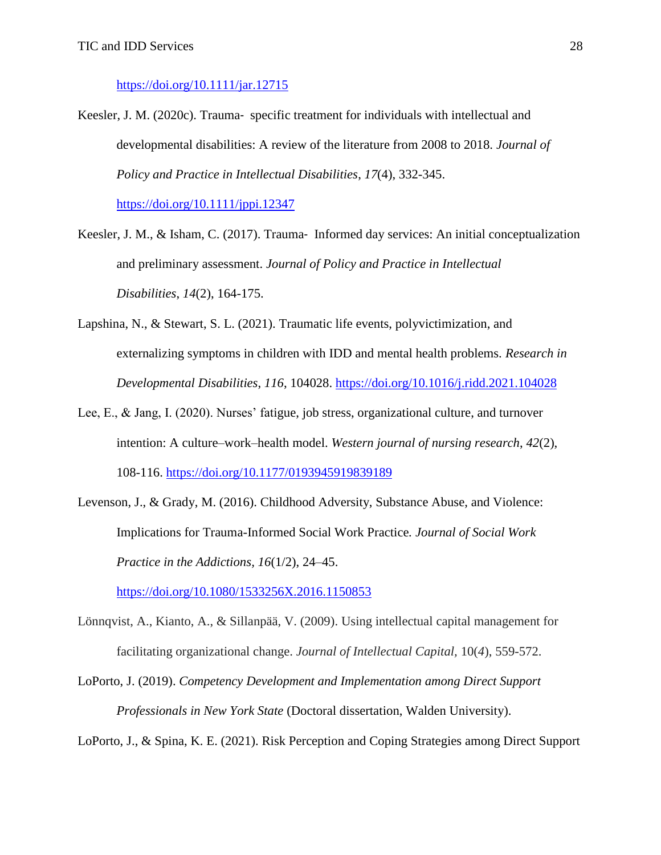## [https://doi.org/10.1111/jar.12715](about:blank)

Keesler, J. M. (2020c). Trauma‐ specific treatment for individuals with intellectual and developmental disabilities: A review of the literature from 2008 to 2018. *Journal of Policy and Practice in Intellectual Disabilities*, *17*(4), 332-345. [https://doi.org/10.1111/jppi.12347](about:blank)

Keesler, J. M., & Isham, C. (2017). Trauma-Informed day services: An initial conceptualization and preliminary assessment. *Journal of Policy and Practice in Intellectual Disabilities*, *14*(2), 164-175.

- Lapshina, N., & Stewart, S. L. (2021). Traumatic life events, polyvictimization, and externalizing symptoms in children with IDD and mental health problems. *Research in Developmental Disabilities*, *116*, 104028. [https://doi.org/10.1016/j.ridd.2021.104028](about:blank)
- Lee, E., & Jang, I. (2020). Nurses' fatigue, job stress, organizational culture, and turnover intention: A culture–work–health model. *Western journal of nursing research*, *42*(2), 108-116. [https://doi.org/10.1177/0193945919839189](about:blank)
- Levenson, J., & Grady, M. (2016). Childhood Adversity, Substance Abuse, and Violence: Implications for Trauma-Informed Social Work Practice*. Journal of Social Work Practice in the Addictions, 16*(1/2), 24–45.

[https://doi.org/10.1080/1533256X.2016.1150853](about:blank)

- Lönnqvist, A., Kianto, A., & Sillanpää, V. (2009). Using intellectual capital management for facilitating organizational change. *Journal of Intellectual Capital,* 10(*4*), 559-572.
- LoPorto, J. (2019). *Competency Development and Implementation among Direct Support Professionals in New York State* (Doctoral dissertation, Walden University).

LoPorto, J., & Spina, K. E. (2021). Risk Perception and Coping Strategies among Direct Support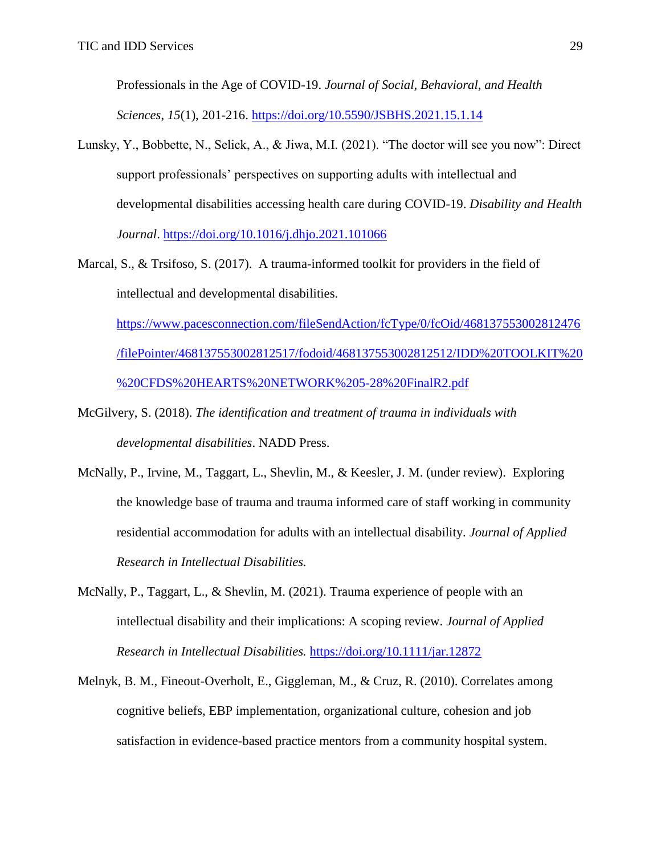Professionals in the Age of COVID-19. *Journal of Social, Behavioral, and Health Sciences*, *15*(1), 201-216. [https://doi.org/10.5590/JSBHS.2021.15.1.14](about:blank)

- Lunsky, Y., Bobbette, N., Selick, A., & Jiwa, M.I. (2021). "The doctor will see you now": Direct support professionals' perspectives on supporting adults with intellectual and developmental disabilities accessing health care during COVID-19. *Disability and Health Journal*. [https://doi.org/10.1016/j.dhjo.2021.101066](about:blank)
- Marcal, S., & Trsifoso, S. (2017). A trauma-informed toolkit for providers in the field of intellectual and developmental disabilities.

[https://www.pacesconnection.com/fileSendAction/fcType/0/fcOid/468137553002812476](about:blank) [/filePointer/468137553002812517/fodoid/468137553002812512/IDD%20TOOLKIT%20](about:blank) [%20CFDS%20HEARTS%20NETWORK%205-28%20FinalR2.pdf](about:blank)

- McGilvery, S. (2018). *The identification and treatment of trauma in individuals with developmental disabilities*. NADD Press.
- McNally, P., Irvine, M., Taggart, L., Shevlin, M., & Keesler, J. M. (under review). Exploring the knowledge base of trauma and trauma informed care of staff working in community residential accommodation for adults with an intellectual disability. *Journal of Applied Research in Intellectual Disabilities.*
- McNally, P., Taggart, L., & Shevlin, M. (2021). Trauma experience of people with an intellectual disability and their implications: A scoping review. *Journal of Applied Research in Intellectual Disabilities.* [https://doi.org/10.1111/jar.12872](about:blank)
- Melnyk, B. M., Fineout-Overholt, E., Giggleman, M., & Cruz, R. (2010). Correlates among cognitive beliefs, EBP implementation, organizational culture, cohesion and job satisfaction in evidence-based practice mentors from a community hospital system.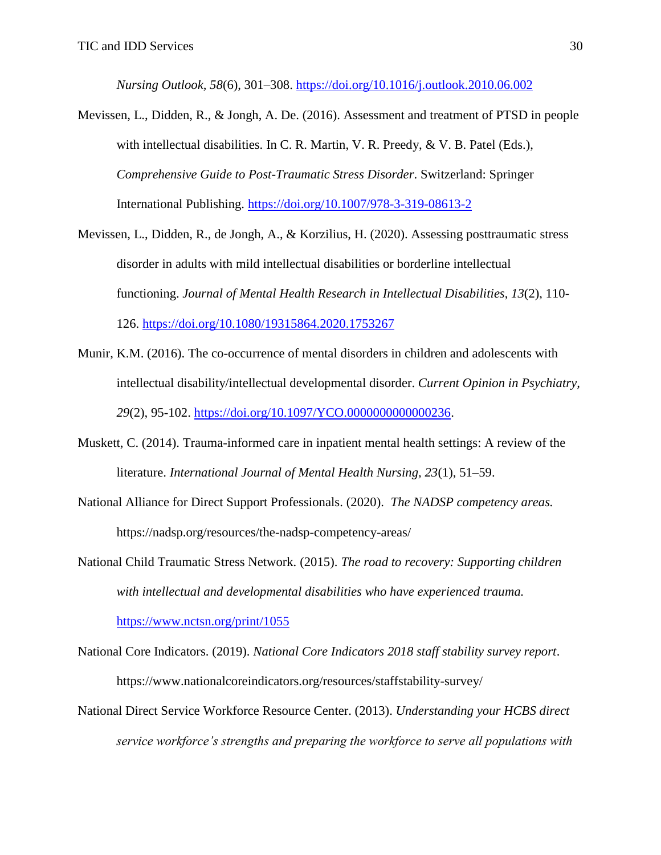*Nursing Outlook, 58*(6), 301–308.<https://doi.org/10.1016/j.outlook.2010.06.002>

- Mevissen, L., Didden, R., & Jongh, A. De. (2016). Assessment and treatment of PTSD in people with intellectual disabilities. In C. R. Martin, V. R. Preedy, & V. B. Patel (Eds.), *Comprehensive Guide to Post-Traumatic Stress Disorder*. Switzerland: Springer International Publishing.<https://doi.org/10.1007/978-3-319-08613-2>
- Mevissen, L., Didden, R., de Jongh, A., & Korzilius, H. (2020). Assessing posttraumatic stress disorder in adults with mild intellectual disabilities or borderline intellectual functioning. *Journal of Mental Health Research in Intellectual Disabilities*, *13*(2), 110- 126. [https://doi.org/10.1080/19315864.2020.1753267](about:blank)
- Munir, K.M. (2016). The co-occurrence of mental disorders in children and adolescents with intellectual disability/intellectual developmental disorder. *Current Opinion in Psychiatry, 29*(2), 95-102. [https://doi.org/10.1097/YCO.0000000000000236.](https://doi.org/10.1097/YCO.0000000000000236)
- Muskett, C. (2014). Trauma-informed care in inpatient mental health settings: A review of the literature. *International Journal of Mental Health Nursing, 23*(1), 51–59.
- National Alliance for Direct Support Professionals. (2020). *The NADSP competency areas.*  [https://nadsp.org/resources/the-nadsp-competency-areas/](about:blank)
- National Child Traumatic Stress Network. (2015). *The road to recovery: Supporting children with intellectual and developmental disabilities who have experienced trauma.*

[https://www.nctsn.org/print/1055](about:blank)

- National Core Indicators. (2019). *National Core Indicators 2018 staff stability survey report*. [https://www.nationalcoreindicators.org/resources/staffstability-survey/](about:blank)
- National Direct Service Workforce Resource Center. (2013). *Understanding your HCBS direct service workforce's strengths and preparing the workforce to serve all populations with*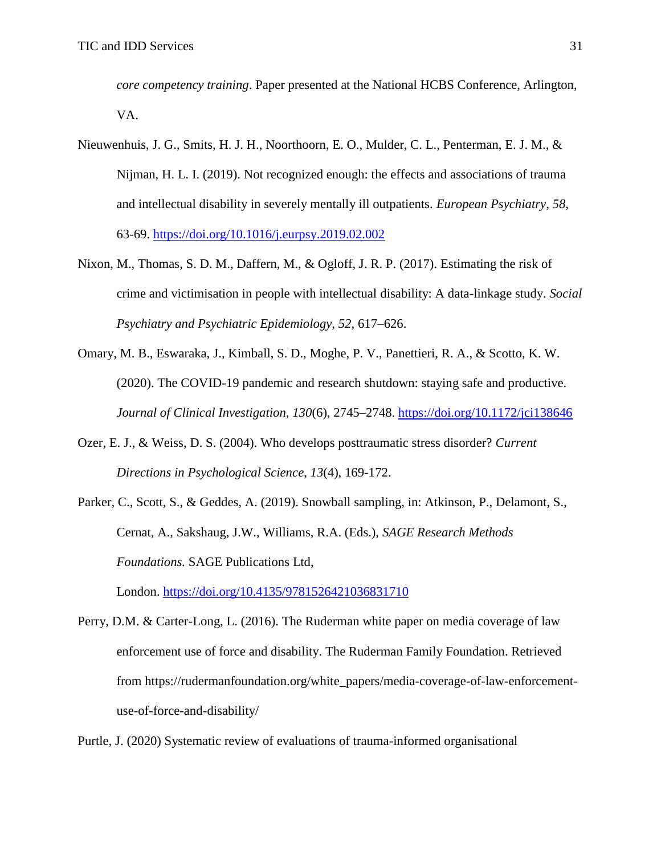*core competency training*. Paper presented at the National HCBS Conference, Arlington, VA.

- Nieuwenhuis, J. G., Smits, H. J. H., Noorthoorn, E. O., Mulder, C. L., Penterman, E. J. M., & Nijman, H. L. I. (2019). Not recognized enough: the effects and associations of trauma and intellectual disability in severely mentally ill outpatients. *European Psychiatry*, *58*, 63-69. [https://doi.org/10.1016/j.eurpsy.2019.02.002](about:blank)
- Nixon, M., Thomas, S. D. M., Daffern, M., & Ogloff, J. R. P. (2017). Estimating the risk of crime and victimisation in people with intellectual disability: A data-linkage study. *Social Psychiatry and Psychiatric Epidemiology, 52*, 617–626.
- Omary, M. B., Eswaraka, J., Kimball, S. D., Moghe, P. V., Panettieri, R. A., & Scotto, K. W. (2020). The COVID-19 pandemic and research shutdown: staying safe and productive. *Journal of Clinical Investigation, 130*(6), 2745–2748. [https://doi.org/10.1172/jci138646](about:blank)
- Ozer, E. J., & Weiss, D. S. (2004). Who develops posttraumatic stress disorder? *Current Directions in Psychological Science*, *13*(4), 169-172.
- Parker, C., Scott, S., & Geddes, A. (2019). Snowball sampling, in: Atkinson, P., Delamont, S., Cernat, A., Sakshaug, J.W., Williams, R.A. (Eds.), *SAGE Research Methods Foundations.* SAGE Publications Ltd,

London. [https://doi.org/10.4135/9781526421036831710](about:blank)

Perry, D.M. & Carter-Long, L. (2016). The Ruderman white paper on media coverage of law enforcement use of force and disability. The Ruderman Family Foundation. Retrieved from https://rudermanfoundation.org/white\_papers/media-coverage-of-law-enforcementuse-of-force-and-disability/

Purtle, J. (2020) Systematic review of evaluations of trauma-informed organisational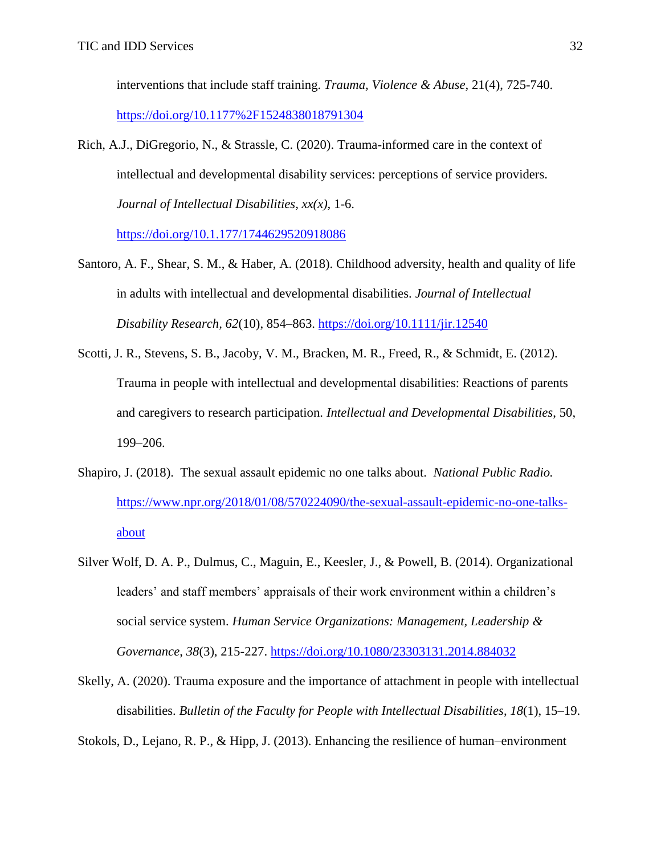interventions that include staff training. *Trauma, Violence & Abuse,* 21(4), 725-740. <https://doi.org/10.1177%2F1524838018791304>

Rich, A.J., DiGregorio, N., & Strassle, C. (2020). Trauma-informed care in the context of intellectual and developmental disability services: perceptions of service providers. *Journal of Intellectual Disabilities, xx(x),* 1-6.

<https://doi.org/10.1.177/1744629520918086>

- Santoro, A. F., Shear, S. M., & Haber, A. (2018). Childhood adversity, health and quality of life in adults with intellectual and developmental disabilities. *Journal of Intellectual Disability Research, 62*(10), 854–863.<https://doi.org/10.1111/jir.12540>
- Scotti, J. R., Stevens, S. B., Jacoby, V. M., Bracken, M. R., Freed, R., & Schmidt, E. (2012). Trauma in people with intellectual and developmental disabilities: Reactions of parents and caregivers to research participation. *Intellectual and Developmental Disabilities*, 50, 199–206.
- Shapiro, J. (2018). The sexual assault epidemic no one talks about. *National Public Radio.*  [https://www.npr.org/2018/01/08/570224090/the-sexual-assault-epidemic-no-one-talks](about:blank)[about](about:blank)
- Silver Wolf, D. A. P., Dulmus, C., Maguin, E., Keesler, J., & Powell, B. (2014). Organizational leaders' and staff members' appraisals of their work environment within a children's social service system. *Human Service Organizations: Management, Leadership & Governance*, *38*(3), 215-227. [https://doi.org/10.1080/23303131.2014.884032](about:blank)
- Skelly, A. (2020). Trauma exposure and the importance of attachment in people with intellectual disabilities. *Bulletin of the Faculty for People with Intellectual Disabilities*, *18*(1), 15–19.

Stokols, D., Lejano, R. P., & Hipp, J. (2013). Enhancing the resilience of human–environment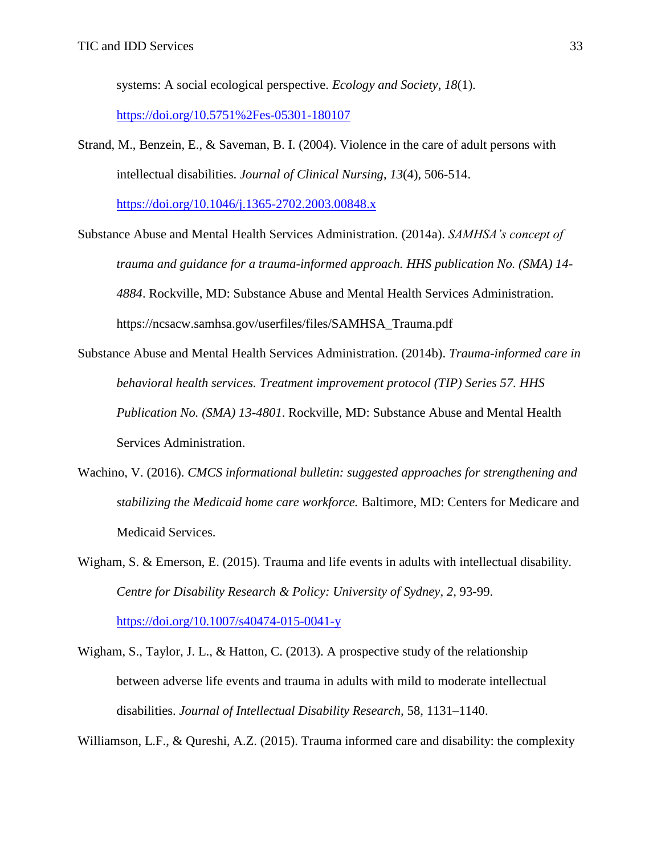systems: A social ecological perspective. *Ecology and Society*, *18*(1).

<https://doi.org/10.5751%2Fes-05301-180107>

Strand, M., Benzein, E., & Saveman, B. I. (2004). Violence in the care of adult persons with intellectual disabilities. *Journal of Clinical Nursing*, *13*(4), 506-514.

[https://doi.org/10.1046/j.1365-2702.2003.00848.x](about:blank)

- Substance Abuse and Mental Health Services Administration. (2014a). *SAMHSA's concept of trauma and guidance for a trauma-informed approach. HHS publication No. (SMA) 14- 4884*. Rockville, MD: Substance Abuse and Mental Health Services Administration. https://ncsacw.samhsa.gov/userfiles/files/SAMHSA\_Trauma.pdf
- Substance Abuse and Mental Health Services Administration. (2014b). *Trauma-informed care in behavioral health services. Treatment improvement protocol (TIP) Series 57. HHS Publication No. (SMA) 13-4801*. Rockville, MD: Substance Abuse and Mental Health Services Administration.
- Wachino, V. (2016). *CMCS informational bulletin: suggested approaches for strengthening and stabilizing the Medicaid home care workforce.* Baltimore, MD: Centers for Medicare and Medicaid Services.
- Wigham, S. & Emerson, E. (2015). Trauma and life events in adults with intellectual disability. *Centre for Disability Research & Policy: University of Sydney, 2,* 93-99. <https://doi.org/10.1007/s40474-015-0041-y>
- Wigham, S., Taylor, J. L., & Hatton, C. (2013). A prospective study of the relationship between adverse life events and trauma in adults with mild to moderate intellectual disabilities. *Journal of Intellectual Disability Research,* 58, 1131–1140.

Williamson, L.F., & Qureshi, A.Z. (2015). Trauma informed care and disability: the complexity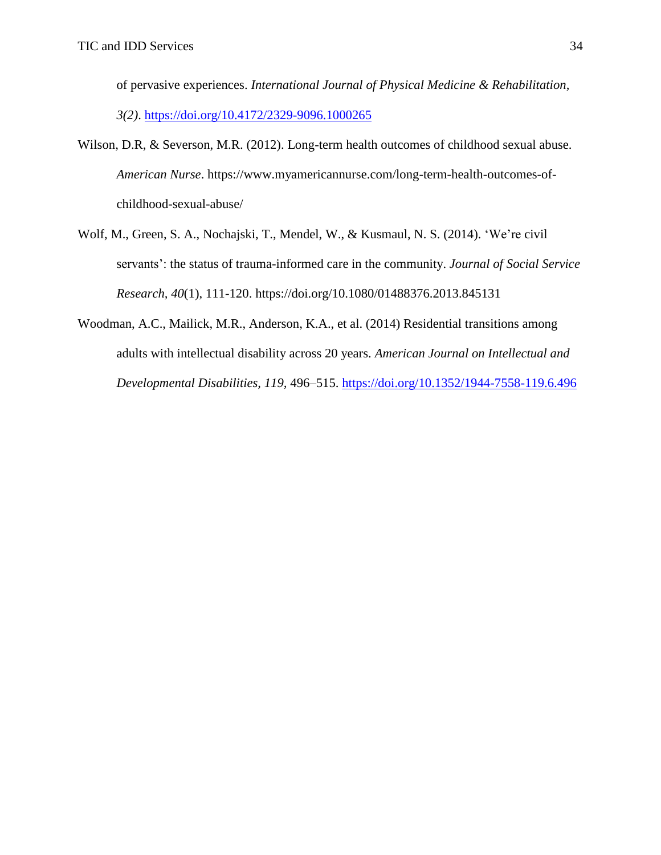of pervasive experiences. *International Journal of Physical Medicine & Rehabilitation, 3(2)*. <https://doi.org/10.4172/2329-9096.1000265>

- Wilson, D.R, & Severson, M.R. (2012). Long-term health outcomes of childhood sexual abuse. *American Nurse*. [https://www.myamericannurse.com/long-term-health-outcomes-of](about:blank)[childhood-sexual-abuse/](about:blank)
- Wolf, M., Green, S. A., Nochajski, T., Mendel, W., & Kusmaul, N. S. (2014). 'We're civil servants': the status of trauma-informed care in the community. *Journal of Social Service Research, 40*(1), 111-120. https://doi.org/10.1080/01488376.2013.845131
- Woodman, A.C., Mailick, M.R., Anderson, K.A., et al. (2014) Residential transitions among adults with intellectual disability across 20 years. *American Journal on Intellectual and Developmental Disabilities, 119,* 496–515. [https://doi.org/10.1352/1944-7558-119.6.496](about:blank)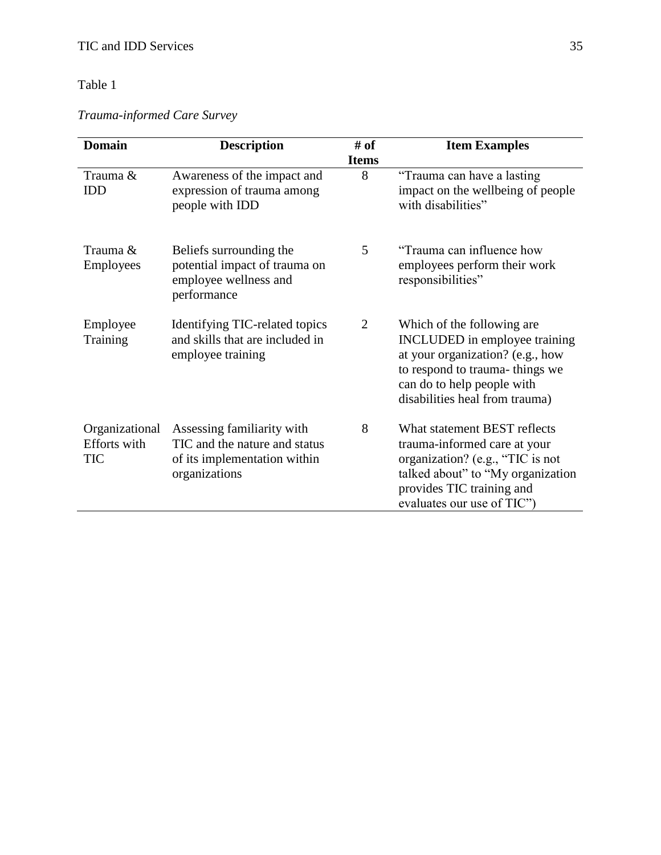*Trauma-informed Care Survey*

| <b>Domain</b>                                       | <b>Description</b>                                                                                           | # of              | <b>Item Examples</b>                                                                                                                                                                                     |
|-----------------------------------------------------|--------------------------------------------------------------------------------------------------------------|-------------------|----------------------------------------------------------------------------------------------------------------------------------------------------------------------------------------------------------|
| Trauma &<br><b>IDD</b>                              | Awareness of the impact and<br>expression of trauma among<br>people with IDD                                 | <b>Items</b><br>8 | "Trauma can have a lasting<br>impact on the wellbeing of people<br>with disabilities"                                                                                                                    |
| Trauma &<br>Employees                               | Beliefs surrounding the<br>potential impact of trauma on<br>employee wellness and<br>performance             | 5                 | "Trauma can influence how<br>employees perform their work<br>responsibilities"                                                                                                                           |
| Employee<br>Training                                | Identifying TIC-related topics<br>and skills that are included in<br>employee training                       | 2                 | Which of the following are<br><b>INCLUDED</b> in employee training<br>at your organization? (e.g., how<br>to respond to trauma-things we<br>can do to help people with<br>disabilities heal from trauma) |
| Organizational<br><b>Efforts</b> with<br><b>TIC</b> | Assessing familiarity with<br>TIC and the nature and status<br>of its implementation within<br>organizations | 8                 | What statement BEST reflects<br>trauma-informed care at your<br>organization? (e.g., "TIC is not<br>talked about" to "My organization"<br>provides TIC training and<br>evaluates our use of TIC"         |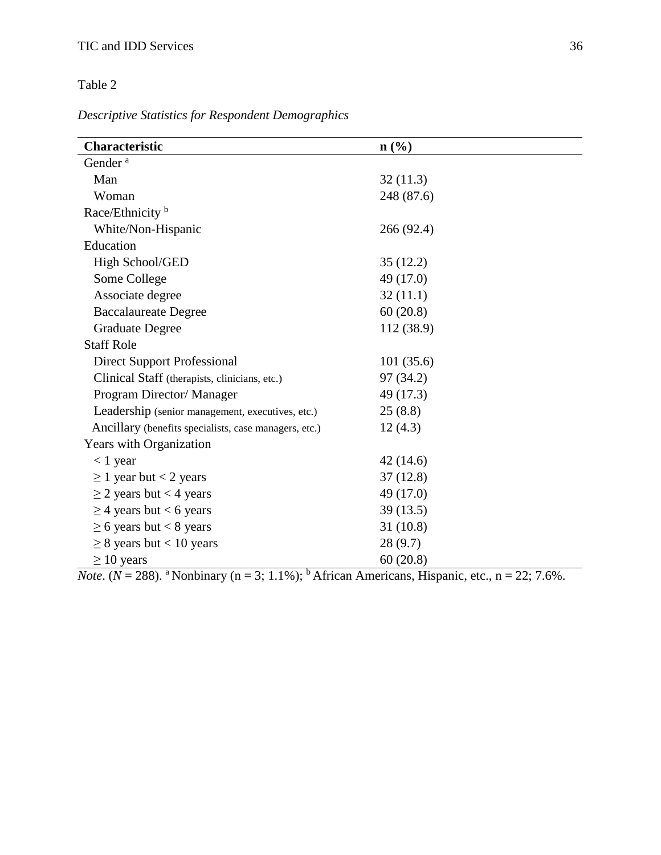*Descriptive Statistics for Respondent Demographics*

| Characteristic                                        | $\mathbf{n}(\%)$ |  |  |
|-------------------------------------------------------|------------------|--|--|
| Gender <sup>a</sup>                                   |                  |  |  |
| Man                                                   | 32(11.3)         |  |  |
| Woman                                                 | 248 (87.6)       |  |  |
| Race/Ethnicity <sup>b</sup>                           |                  |  |  |
| White/Non-Hispanic                                    | 266 (92.4)       |  |  |
| Education                                             |                  |  |  |
| High School/GED                                       | 35(12.2)         |  |  |
| Some College                                          | 49 (17.0)        |  |  |
| Associate degree                                      | 32(11.1)         |  |  |
| <b>Baccalaureate Degree</b>                           | 60(20.8)         |  |  |
| <b>Graduate Degree</b>                                | 112 (38.9)       |  |  |
| <b>Staff Role</b>                                     |                  |  |  |
| <b>Direct Support Professional</b>                    | 101(35.6)        |  |  |
| Clinical Staff (therapists, clinicians, etc.)         | 97 (34.2)        |  |  |
| Program Director/Manager                              | 49 (17.3)        |  |  |
| Leadership (senior management, executives, etc.)      | 25(8.8)          |  |  |
| Ancillary (benefits specialists, case managers, etc.) | 12(4.3)          |  |  |
| Years with Organization                               |                  |  |  |
| $< 1$ year                                            | 42(14.6)         |  |  |
| $\geq 1$ year but < 2 years                           | 37(12.8)         |  |  |
| $\geq$ 2 years but < 4 years                          | 49 (17.0)        |  |  |
| $\geq$ 4 years but < 6 years                          | 39(13.5)         |  |  |
| $\geq$ 6 years but < 8 years                          | 31(10.8)         |  |  |
| $\geq$ 8 years but < 10 years                         | 28(9.7)          |  |  |
| $\geq 10$ years                                       | 60(20.8)         |  |  |

*Note*. ( $N = 288$ ). <sup>a</sup> Nonbinary ( $n = 3$ ; 1.1%); <sup>b</sup> African Americans, Hispanic, etc.,  $n = 22$ ; 7.6%.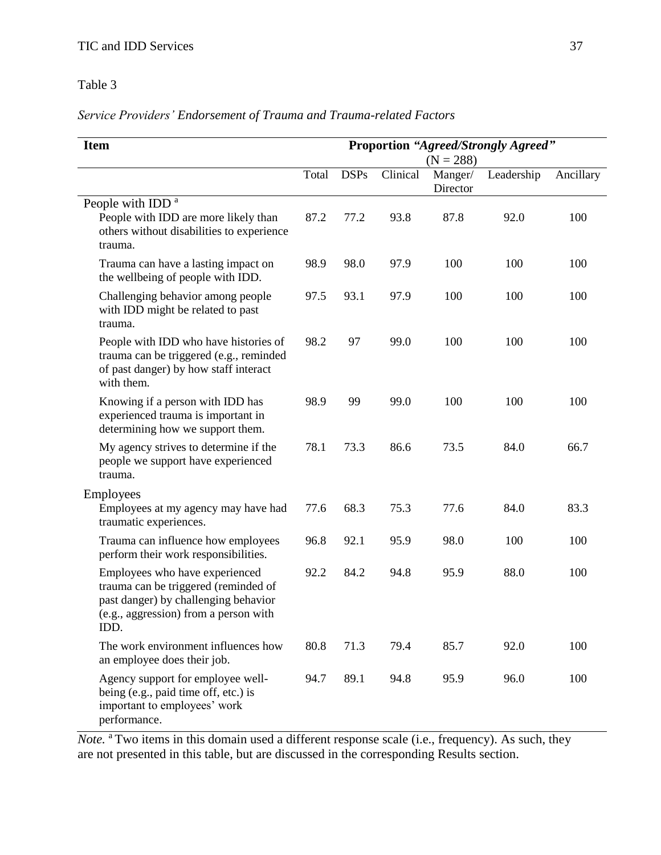*Service Providers' Endorsement of Trauma and Trauma-related Factors*

| <b>Item</b>                                                                                                                                                     | <b>Proportion "Agreed/Strongly Agreed"</b><br>$(N = 288)$ |             |          |                     |            |           |
|-----------------------------------------------------------------------------------------------------------------------------------------------------------------|-----------------------------------------------------------|-------------|----------|---------------------|------------|-----------|
|                                                                                                                                                                 | Total                                                     | <b>DSPs</b> | Clinical | Manger/<br>Director | Leadership | Ancillary |
| People with IDD <sup>a</sup>                                                                                                                                    |                                                           |             |          |                     |            |           |
| People with IDD are more likely than<br>others without disabilities to experience<br>trauma.                                                                    | 87.2                                                      | 77.2        | 93.8     | 87.8                | 92.0       | 100       |
| Trauma can have a lasting impact on<br>the wellbeing of people with IDD.                                                                                        | 98.9                                                      | 98.0        | 97.9     | 100                 | 100        | 100       |
| Challenging behavior among people<br>with IDD might be related to past<br>trauma.                                                                               | 97.5                                                      | 93.1        | 97.9     | 100                 | 100        | 100       |
| People with IDD who have histories of<br>trauma can be triggered (e.g., reminded<br>of past danger) by how staff interact<br>with them.                         | 98.2                                                      | 97          | 99.0     | 100                 | 100        | 100       |
| Knowing if a person with IDD has<br>experienced trauma is important in<br>determining how we support them.                                                      | 98.9                                                      | 99          | 99.0     | 100                 | 100        | 100       |
| My agency strives to determine if the<br>people we support have experienced<br>trauma.                                                                          | 78.1                                                      | 73.3        | 86.6     | 73.5                | 84.0       | 66.7      |
| Employees                                                                                                                                                       |                                                           |             |          |                     |            |           |
| Employees at my agency may have had<br>traumatic experiences.                                                                                                   | 77.6                                                      | 68.3        | 75.3     | 77.6                | 84.0       | 83.3      |
| Trauma can influence how employees<br>perform their work responsibilities.                                                                                      | 96.8                                                      | 92.1        | 95.9     | 98.0                | 100        | 100       |
| Employees who have experienced<br>trauma can be triggered (reminded of<br>past danger) by challenging behavior<br>(e.g., aggression) from a person with<br>IDD. | 92.2                                                      | 84.2        | 94.8     | 95.9                | 88.0       | 100       |
| The work environment influences how<br>an employee does their job.                                                                                              | 80.8                                                      | 71.3        | 79.4     | 85.7                | 92.0       | 100       |
| Agency support for employee well-<br>being (e.g., paid time off, etc.) is<br>important to employees' work<br>performance.                                       | 94.7                                                      | 89.1        | 94.8     | 95.9                | 96.0       | 100       |

*Note.* <sup>a</sup> Two items in this domain used a different response scale (i.e., frequency). As such, they are not presented in this table, but are discussed in the corresponding Results section.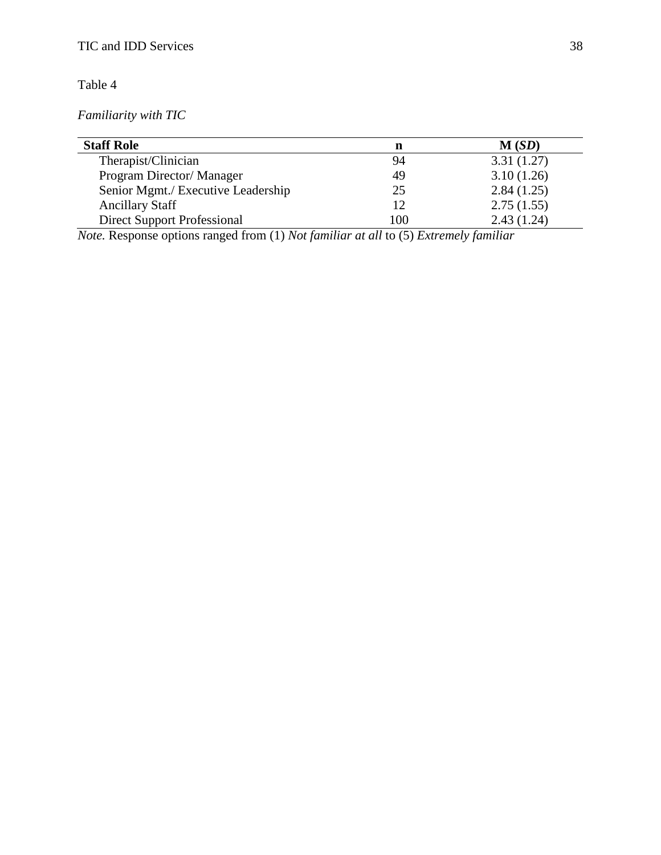*Familiarity with TIC*

| <b>Staff Role</b>                  | n   | M(SD)      |
|------------------------------------|-----|------------|
| Therapist/Clinician                | 94  | 3.31(1.27) |
| Program Director/Manager           | 49  | 3.10(1.26) |
| Senior Mgmt./ Executive Leadership | 25  | 2.84(1.25) |
| <b>Ancillary Staff</b>             | 12  | 2.75(1.55) |
| <b>Direct Support Professional</b> | 100 | 2.43(1.24) |

*Note.* Response options ranged from (1) *Not familiar at all* to (5) *Extremely familiar*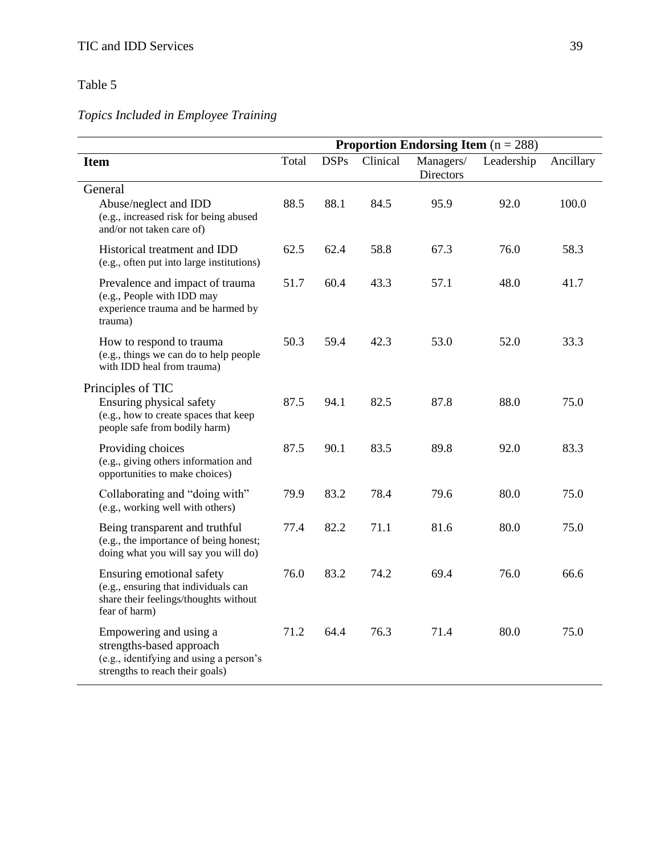# *Topics Included in Employee Training*

|                                                                                                                                  | <b>Proportion Endorsing Item</b> $(n = 288)$ |             |          |                               |            |           |
|----------------------------------------------------------------------------------------------------------------------------------|----------------------------------------------|-------------|----------|-------------------------------|------------|-----------|
| <b>Item</b>                                                                                                                      | Total                                        | <b>DSPs</b> | Clinical | Managers/<br><b>Directors</b> | Leadership | Ancillary |
| General<br>Abuse/neglect and IDD<br>(e.g., increased risk for being abused<br>and/or not taken care of)                          | 88.5                                         | 88.1        | 84.5     | 95.9                          | 92.0       | 100.0     |
| Historical treatment and IDD<br>(e.g., often put into large institutions)                                                        | 62.5                                         | 62.4        | 58.8     | 67.3                          | 76.0       | 58.3      |
| Prevalence and impact of trauma<br>(e.g., People with IDD may<br>experience trauma and be harmed by<br>trauma)                   | 51.7                                         | 60.4        | 43.3     | 57.1                          | 48.0       | 41.7      |
| How to respond to trauma<br>(e.g., things we can do to help people<br>with IDD heal from trauma)                                 | 50.3                                         | 59.4        | 42.3     | 53.0                          | 52.0       | 33.3      |
| Principles of TIC<br>Ensuring physical safety<br>(e.g., how to create spaces that keep<br>people safe from bodily harm)          | 87.5                                         | 94.1        | 82.5     | 87.8                          | 88.0       | 75.0      |
| Providing choices<br>(e.g., giving others information and<br>opportunities to make choices)                                      | 87.5                                         | 90.1        | 83.5     | 89.8                          | 92.0       | 83.3      |
| Collaborating and "doing with"<br>(e.g., working well with others)                                                               | 79.9                                         | 83.2        | 78.4     | 79.6                          | 80.0       | 75.0      |
| Being transparent and truthful<br>(e.g., the importance of being honest;<br>doing what you will say you will do)                 | 77.4                                         | 82.2        | 71.1     | 81.6                          | 80.0       | 75.0      |
| Ensuring emotional safety<br>(e.g., ensuring that individuals can<br>share their feelings/thoughts without<br>fear of harm)      | 76.0                                         | 83.2        | 74.2     | 69.4                          | 76.0       | 66.6      |
| Empowering and using a<br>strengths-based approach<br>(e.g., identifying and using a person's<br>strengths to reach their goals) | 71.2                                         | 64.4        | 76.3     | 71.4                          | 80.0       | 75.0      |